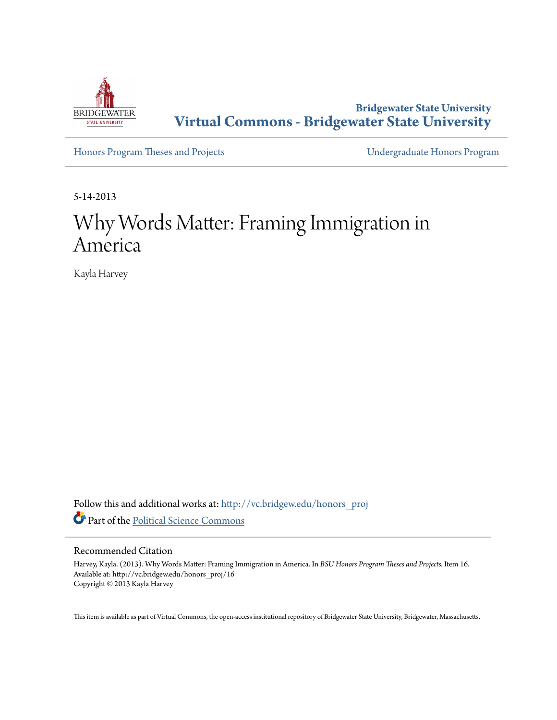

**Bridgewater State University [Virtual Commons - Bridgewater State University](http://vc.bridgew.edu?utm_source=vc.bridgew.edu%2Fhonors_proj%2F16&utm_medium=PDF&utm_campaign=PDFCoverPages)**

[Honors Program Theses and Projects](http://vc.bridgew.edu/honors_proj?utm_source=vc.bridgew.edu%2Fhonors_proj%2F16&utm_medium=PDF&utm_campaign=PDFCoverPages) [Undergraduate Honors Program](http://vc.bridgew.edu/honors?utm_source=vc.bridgew.edu%2Fhonors_proj%2F16&utm_medium=PDF&utm_campaign=PDFCoverPages)

5-14-2013

# Why Words Matter: Framing Immigration in America

Kayla Harvey

Follow this and additional works at: [http://vc.bridgew.edu/honors\\_proj](http://vc.bridgew.edu/honors_proj?utm_source=vc.bridgew.edu%2Fhonors_proj%2F16&utm_medium=PDF&utm_campaign=PDFCoverPages) Part of the [Political Science Commons](http://network.bepress.com/hgg/discipline/386?utm_source=vc.bridgew.edu%2Fhonors_proj%2F16&utm_medium=PDF&utm_campaign=PDFCoverPages)

#### Recommended Citation

Harvey, Kayla. (2013). Why Words Matter: Framing Immigration in America. In *BSU Honors Program Theses and Projects.* Item 16. Available at: http://vc.bridgew.edu/honors\_proj/16 Copyright © 2013 Kayla Harvey

This item is available as part of Virtual Commons, the open-access institutional repository of Bridgewater State University, Bridgewater, Massachusetts.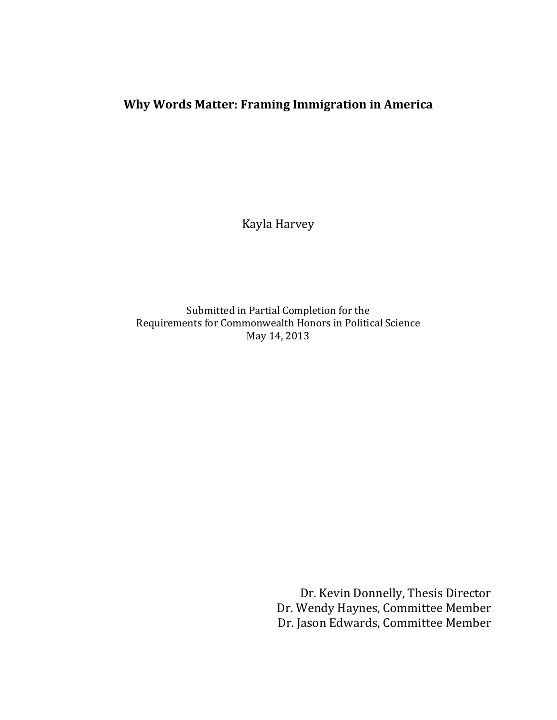## **Why Words Matter: Framing Immigration in America**

Kayla Harvey

Submitted in Partial Completion for the Requirements for Commonwealth Honors in Political Science May 14, 2013

> Dr. Kevin Donnelly, Thesis Director Dr. Wendy Haynes, Committee Member Dr. Jason Edwards, Committee Member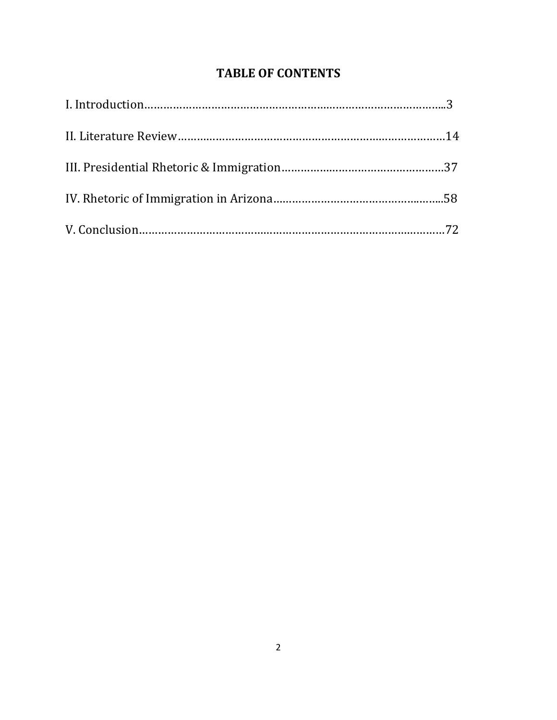# **TABLE OF CONTENTS**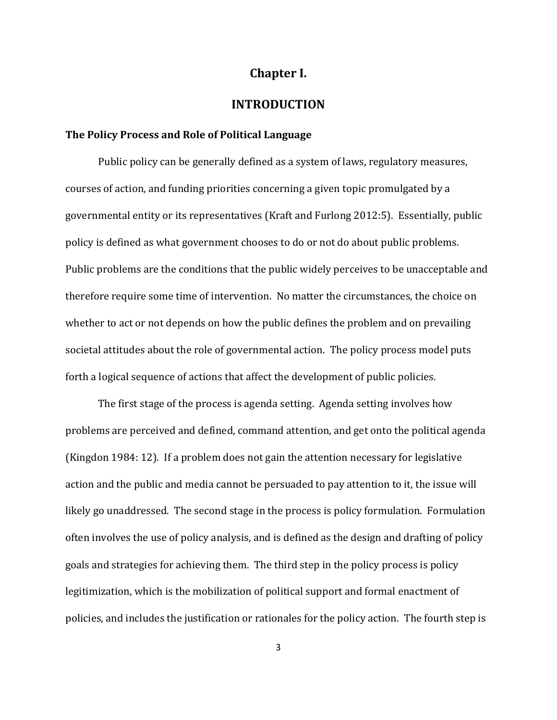## **Chapter I.**

## **INTRODUCTION**

## **The Policy Process and Role of Political Language**

Public policy can be generally defined as a system of laws, regulatory measures, courses of action, and funding priorities concerning a given topic promulgated by a governmental entity or its representatives (Kraft and Furlong 2012:5). Essentially, public policy is defined as what government chooses to do or not do about public problems. Public problems are the conditions that the public widely perceives to be unacceptable and therefore require some time of intervention. No matter the circumstances, the choice on whether to act or not depends on how the public defines the problem and on prevailing societal attitudes about the role of governmental action. The policy process model puts forth a logical sequence of actions that affect the development of public policies.

The first stage of the process is agenda setting. Agenda setting involves how problems are perceived and defined, command attention, and get onto the political agenda (Kingdon 1984: 12). If a problem does not gain the attention necessary for legislative action and the public and media cannot be persuaded to pay attention to it, the issue will likely go unaddressed. The second stage in the process is policy formulation. Formulation often involves the use of policy analysis, and is defined as the design and drafting of policy goals and strategies for achieving them. The third step in the policy process is policy legitimization, which is the mobilization of political support and formal enactment of policies, and includes the justification or rationales for the policy action. The fourth step is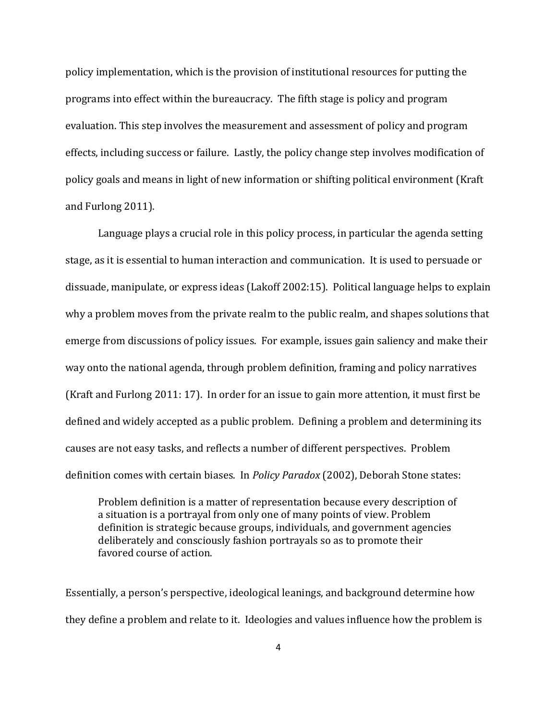policy implementation, which is the provision of institutional resources for putting the programs into effect within the bureaucracy. The fifth stage is policy and program evaluation. This step involves the measurement and assessment of policy and program effects, including success or failure. Lastly, the policy change step involves modification of policy goals and means in light of new information or shifting political environment (Kraft and Furlong 2011).

Language plays a crucial role in this policy process, in particular the agenda setting stage, as it is essential to human interaction and communication. It is used to persuade or dissuade, manipulate, or express ideas (Lakoff 2002:15). Political language helps to explain why a problem moves from the private realm to the public realm, and shapes solutions that emerge from discussions of policy issues. For example, issues gain saliency and make their way onto the national agenda, through problem definition, framing and policy narratives (Kraft and Furlong 2011: 17). In order for an issue to gain more attention, it must first be defined and widely accepted as a public problem. Defining a problem and determining its causes are not easy tasks, and reflects a number of different perspectives. Problem definition comes with certain biases. In *Policy Paradox* (2002), Deborah Stone states:

Problem definition is a matter of representation because every description of a situation is a portrayal from only one of many points of view. Problem definition is strategic because groups, individuals, and government agencies deliberately and consciously fashion portrayals so as to promote their favored course of action.

Essentially, a person's perspective, ideological leanings, and background determine how they define a problem and relate to it. Ideologies and values influence how the problem is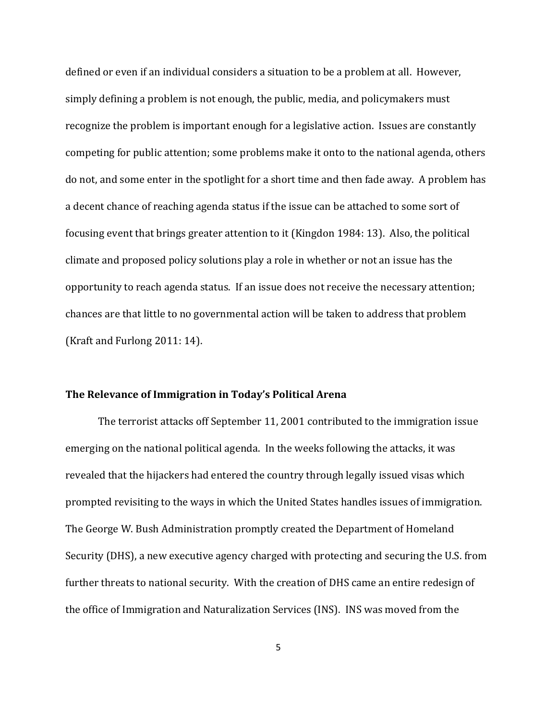defined or even if an individual considers a situation to be a problem at all. However, simply defining a problem is not enough, the public, media, and policymakers must recognize the problem is important enough for a legislative action. Issues are constantly competing for public attention; some problems make it onto to the national agenda, others do not, and some enter in the spotlight for a short time and then fade away. A problem has a decent chance of reaching agenda status if the issue can be attached to some sort of focusing event that brings greater attention to it (Kingdon 1984: 13). Also, the political climate and proposed policy solutions play a role in whether or not an issue has the opportunity to reach agenda status. If an issue does not receive the necessary attention; chances are that little to no governmental action will be taken to address that problem (Kraft and Furlong 2011: 14).

#### **The Relevance of Immigration in Today's Political Arena**

The terrorist attacks off September 11, 2001 contributed to the immigration issue emerging on the national political agenda. In the weeks following the attacks, it was revealed that the hijackers had entered the country through legally issued visas which prompted revisiting to the ways in which the United States handles issues of immigration. The George W. Bush Administration promptly created the Department of Homeland Security (DHS), a new executive agency charged with protecting and securing the U.S. from further threats to national security. With the creation of DHS came an entire redesign of the office of Immigration and Naturalization Services (INS). INS was moved from the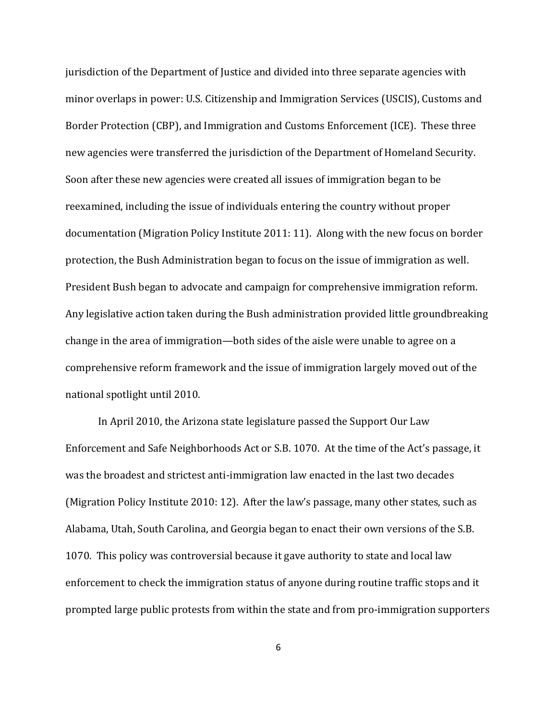jurisdiction of the Department of Justice and divided into three separate agencies with minor overlaps in power: U.S. Citizenship and Immigration Services (USCIS), Customs and Border Protection (CBP), and Immigration and Customs Enforcement (ICE). These three new agencies were transferred the jurisdiction of the Department of Homeland Security. Soon after these new agencies were created all issues of immigration began to be reexamined, including the issue of individuals entering the country without proper documentation (Migration Policy Institute 2011: 11). Along with the new focus on border protection, the Bush Administration began to focus on the issue of immigration as well. President Bush began to advocate and campaign for comprehensive immigration reform. Any legislative action taken during the Bush administration provided little groundbreaking change in the area of immigration—both sides of the aisle were unable to agree on a comprehensive reform framework and the issue of immigration largely moved out of the national spotlight until 2010.

In April 2010, the Arizona state legislature passed the Support Our Law Enforcement and Safe Neighborhoods Act or S.B. 1070. At the time of the Act's passage, it was the broadest and strictest anti-immigration law enacted in the last two decades (Migration Policy Institute 2010: 12). After the law's passage, many other states, such as Alabama, Utah, South Carolina, and Georgia began to enact their own versions of the S.B. 1070. This policy was controversial because it gave authority to state and local law enforcement to check the immigration status of anyone during routine traffic stops and it prompted large public protests from within the state and from pro-immigration supporters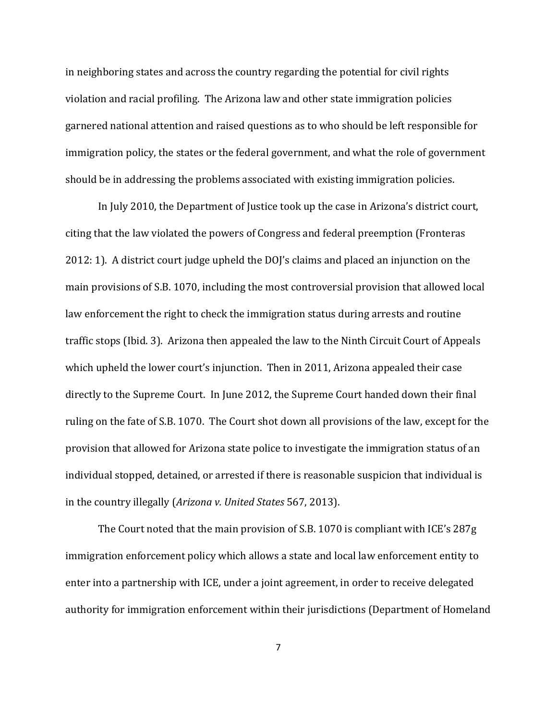in neighboring states and across the country regarding the potential for civil rights violation and racial profiling. The Arizona law and other state immigration policies garnered national attention and raised questions as to who should be left responsible for immigration policy, the states or the federal government, and what the role of government should be in addressing the problems associated with existing immigration policies.

In July 2010, the Department of Justice took up the case in Arizona's district court, citing that the law violated the powers of Congress and federal preemption (Fronteras 2012: 1). A district court judge upheld the DOJ's claims and placed an injunction on the main provisions of S.B. 1070, including the most controversial provision that allowed local law enforcement the right to check the immigration status during arrests and routine traffic stops (Ibid. 3). Arizona then appealed the law to the Ninth Circuit Court of Appeals which upheld the lower court's injunction. Then in 2011, Arizona appealed their case directly to the Supreme Court. In June 2012, the Supreme Court handed down their final ruling on the fate of S.B. 1070. The Court shot down all provisions of the law, except for the provision that allowed for Arizona state police to investigate the immigration status of an individual stopped, detained, or arrested if there is reasonable suspicion that individual is in the country illegally (*Arizona v. United States* 567, 2013).

The Court noted that the main provision of S.B. 1070 is compliant with ICE's 287g immigration enforcement policy which allows a state and local law enforcement entity to enter into a partnership with ICE, under a joint agreement, in order to receive delegated authority for immigration enforcement within their jurisdictions (Department of Homeland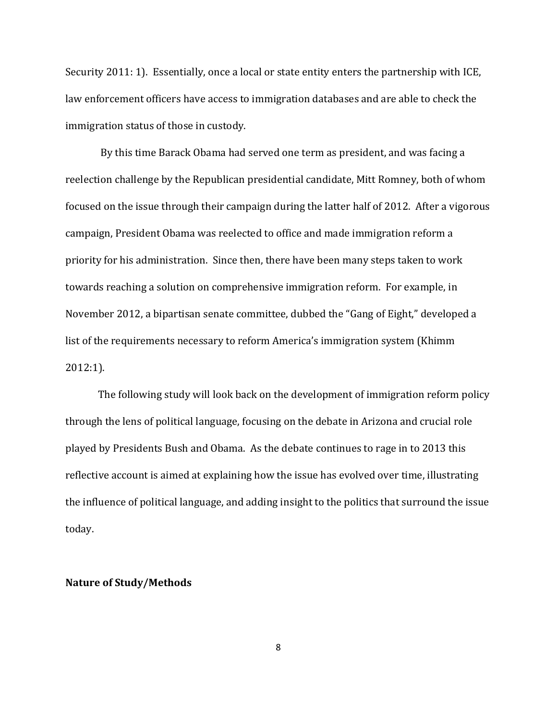Security 2011: 1). Essentially, once a local or state entity enters the partnership with ICE, law enforcement officers have access to immigration databases and are able to check the immigration status of those in custody.

By this time Barack Obama had served one term as president, and was facing a reelection challenge by the Republican presidential candidate, Mitt Romney, both of whom focused on the issue through their campaign during the latter half of 2012. After a vigorous campaign, President Obama was reelected to office and made immigration reform a priority for his administration. Since then, there have been many steps taken to work towards reaching a solution on comprehensive immigration reform. For example, in November 2012, a bipartisan senate committee, dubbed the "Gang of Eight," developed a list of the requirements necessary to reform America's immigration system (Khimm 2012:1).

The following study will look back on the development of immigration reform policy through the lens of political language, focusing on the debate in Arizona and crucial role played by Presidents Bush and Obama. As the debate continues to rage in to 2013 this reflective account is aimed at explaining how the issue has evolved over time, illustrating the influence of political language, and adding insight to the politics that surround the issue today.

### **Nature of Study/Methods**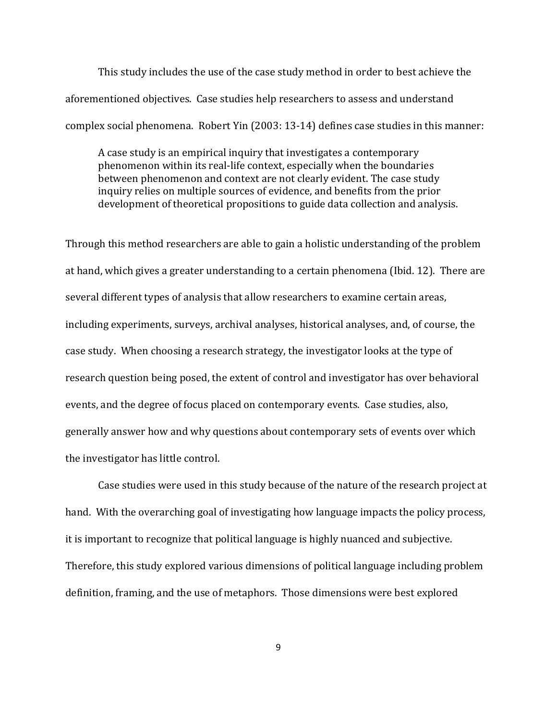This study includes the use of the case study method in order to best achieve the aforementioned objectives. Case studies help researchers to assess and understand complex social phenomena. Robert Yin (2003: 13-14) defines case studies in this manner:

A case study is an empirical inquiry that investigates a contemporary phenomenon within its real-life context, especially when the boundaries between phenomenon and context are not clearly evident. The case study inquiry relies on multiple sources of evidence, and benefits from the prior development of theoretical propositions to guide data collection and analysis.

Through this method researchers are able to gain a holistic understanding of the problem at hand, which gives a greater understanding to a certain phenomena (Ibid. 12). There are several different types of analysis that allow researchers to examine certain areas, including experiments, surveys, archival analyses, historical analyses, and, of course, the case study. When choosing a research strategy, the investigator looks at the type of research question being posed, the extent of control and investigator has over behavioral events, and the degree of focus placed on contemporary events. Case studies, also, generally answer how and why questions about contemporary sets of events over which the investigator has little control.

Case studies were used in this study because of the nature of the research project at hand. With the overarching goal of investigating how language impacts the policy process, it is important to recognize that political language is highly nuanced and subjective. Therefore, this study explored various dimensions of political language including problem definition, framing, and the use of metaphors. Those dimensions were best explored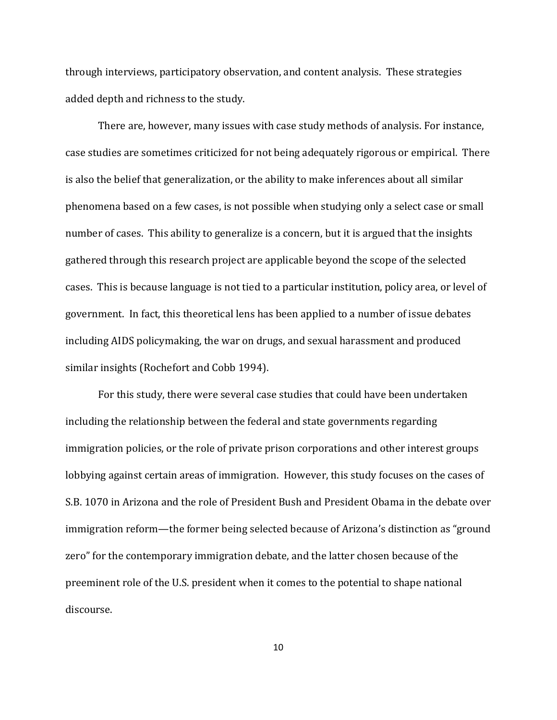through interviews, participatory observation, and content analysis. These strategies added depth and richness to the study.

There are, however, many issues with case study methods of analysis. For instance, case studies are sometimes criticized for not being adequately rigorous or empirical. There is also the belief that generalization, or the ability to make inferences about all similar phenomena based on a few cases, is not possible when studying only a select case or small number of cases. This ability to generalize is a concern, but it is argued that the insights gathered through this research project are applicable beyond the scope of the selected cases. This is because language is not tied to a particular institution, policy area, or level of government. In fact, this theoretical lens has been applied to a number of issue debates including AIDS policymaking, the war on drugs, and sexual harassment and produced similar insights (Rochefort and Cobb 1994).

For this study, there were several case studies that could have been undertaken including the relationship between the federal and state governments regarding immigration policies, or the role of private prison corporations and other interest groups lobbying against certain areas of immigration. However, this study focuses on the cases of S.B. 1070 in Arizona and the role of President Bush and President Obama in the debate over immigration reform—the former being selected because of Arizona's distinction as "ground zero" for the contemporary immigration debate, and the latter chosen because of the preeminent role of the U.S. president when it comes to the potential to shape national discourse.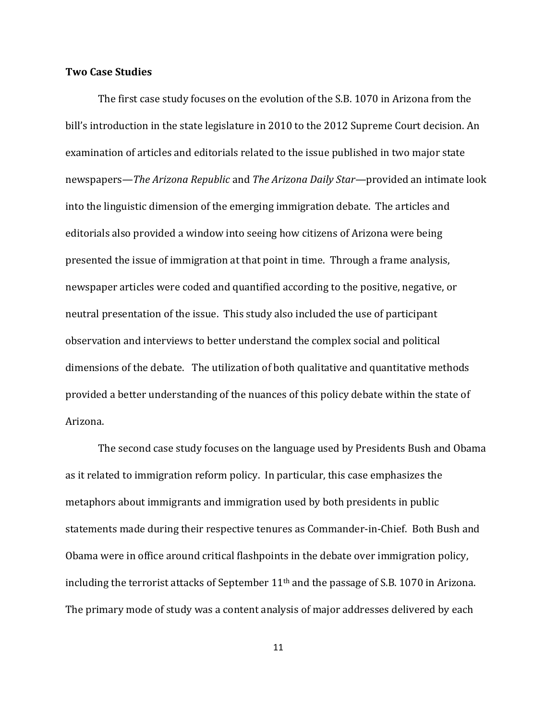## **Two Case Studies**

The first case study focuses on the evolution of the S.B. 1070 in Arizona from the bill's introduction in the state legislature in 2010 to the 2012 Supreme Court decision. An examination of articles and editorials related to the issue published in two major state newspapers*—The Arizona Republic* and *The Arizona Daily Star—*provided an intimate look into the linguistic dimension of the emerging immigration debate. The articles and editorials also provided a window into seeing how citizens of Arizona were being presented the issue of immigration at that point in time. Through a frame analysis, newspaper articles were coded and quantified according to the positive, negative, or neutral presentation of the issue. This study also included the use of participant observation and interviews to better understand the complex social and political dimensions of the debate. The utilization of both qualitative and quantitative methods provided a better understanding of the nuances of this policy debate within the state of Arizona.

The second case study focuses on the language used by Presidents Bush and Obama as it related to immigration reform policy. In particular, this case emphasizes the metaphors about immigrants and immigration used by both presidents in public statements made during their respective tenures as Commander-in-Chief. Both Bush and Obama were in office around critical flashpoints in the debate over immigration policy, including the terrorist attacks of September  $11<sup>th</sup>$  and the passage of S.B. 1070 in Arizona. The primary mode of study was a content analysis of major addresses delivered by each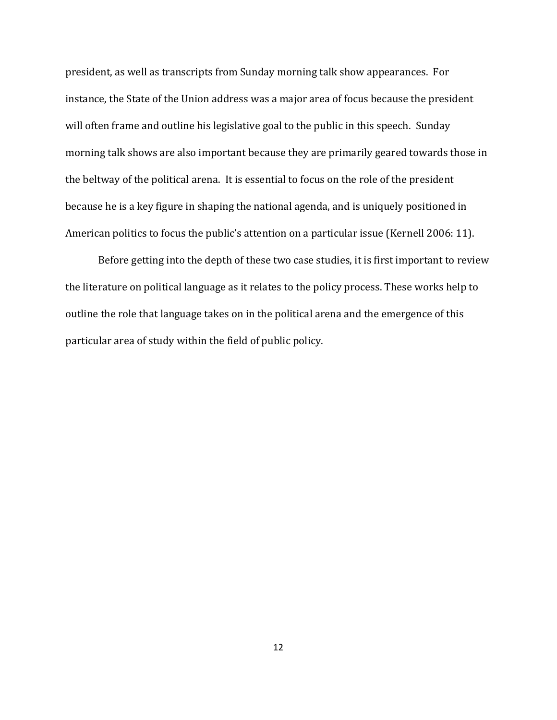president, as well as transcripts from Sunday morning talk show appearances. For instance, the State of the Union address was a major area of focus because the president will often frame and outline his legislative goal to the public in this speech. Sunday morning talk shows are also important because they are primarily geared towards those in the beltway of the political arena. It is essential to focus on the role of the president because he is a key figure in shaping the national agenda, and is uniquely positioned in American politics to focus the public's attention on a particular issue (Kernell 2006: 11).

Before getting into the depth of these two case studies, it is first important to review the literature on political language as it relates to the policy process. These works help to outline the role that language takes on in the political arena and the emergence of this particular area of study within the field of public policy.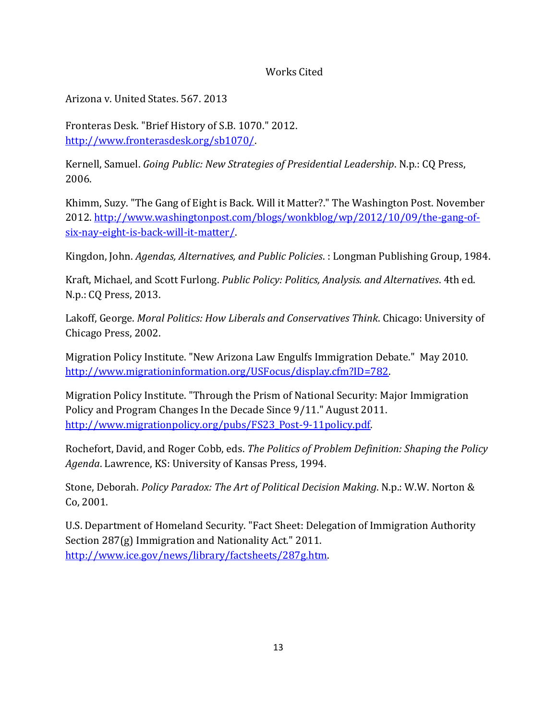## Works Cited

Arizona v. United States. 567. 2013

Fronteras Desk. "Brief History of S.B. 1070." 2012. [http://www.fronterasdesk.org/sb1070/.](http://www.fronterasdesk.org/sb1070/)

Kernell, Samuel. *Going Public: New Strategies of Presidential Leadership*. N.p.: CQ Press, 2006.

Khimm, Suzy. "The Gang of Eight is Back. Will it Matter?." The Washington Post. November 2012. [http://www.washingtonpost.com/blogs/wonkblog/wp/2012/10/09/the-gang-of](http://www.washingtonpost.com/blogs/wonkblog/wp/2012/10/09/the-gang-of-six-nay-eight-is-back-will-it-matter/)[six-nay-eight-is-back-will-it-matter/.](http://www.washingtonpost.com/blogs/wonkblog/wp/2012/10/09/the-gang-of-six-nay-eight-is-back-will-it-matter/)

Kingdon, John. *Agendas, Alternatives, and Public Policies*. : Longman Publishing Group, 1984.

Kraft, Michael, and Scott Furlong. *Public Policy: Politics, Analysis. and Alternatives*. 4th ed. N.p.: CQ Press, 2013.

Lakoff, George. *Moral Politics: How Liberals and Conservatives Think*. Chicago: University of Chicago Press, 2002.

Migration Policy Institute. "New Arizona Law Engulfs Immigration Debate." May 2010. [http://www.migrationinformation.org/USFocus/display.cfm?ID=782.](http://www.migrationinformation.org/USFocus/display.cfm?ID=782)

Migration Policy Institute. "Through the Prism of National Security: Major Immigration Policy and Program Changes In the Decade Since 9/11." August 2011. [http://www.migrationpolicy.org/pubs/FS23\\_Post-9-11policy.pdf.](http://www.migrationpolicy.org/pubs/FS23_Post-9-11policy.pdf) 

Rochefort, David, and Roger Cobb, eds. *The Politics of Problem Definition: Shaping the Policy Agenda*. Lawrence, KS: University of Kansas Press, 1994.

Stone, Deborah. *Policy Paradox: The Art of Political Decision Making*. N.p.: W.W. Norton & Co, 2001.

U.S. Department of Homeland Security. "Fact Sheet: Delegation of Immigration Authority Section 287(g) Immigration and Nationality Act." 2011. [http://www.ice.gov/news/library/factsheets/287g.htm.](http://www.ice.gov/news/library/factsheets/287g.htm)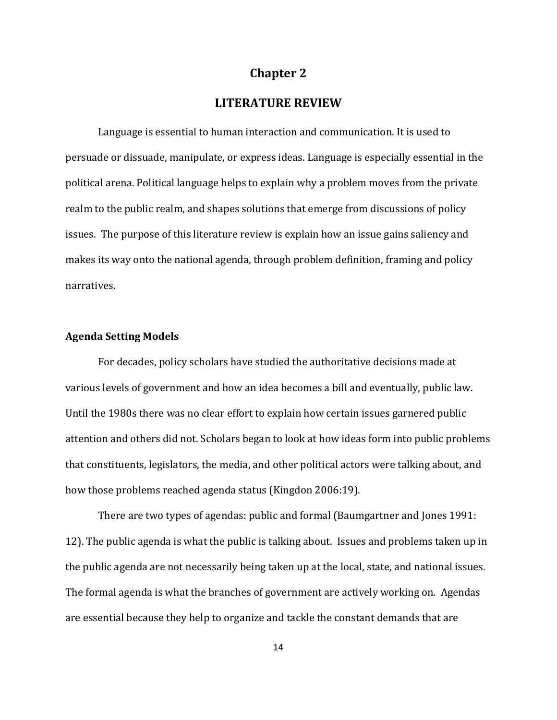## **Chapter 2**

## **LITERATURE REVIEW**

Language is essential to human interaction and communication. It is used to persuade or dissuade, manipulate, or express ideas. Language is especially essential in the political arena. Political language helps to explain why a problem moves from the private realm to the public realm, and shapes solutions that emerge from discussions of policy issues. The purpose of this literature review is explain how an issue gains saliency and makes its way onto the national agenda, through problem definition, framing and policy narratives.

## **Agenda Setting Models**

For decades, policy scholars have studied the authoritative decisions made at various levels of government and how an idea becomes a bill and eventually, public law. Until the 1980s there was no clear effort to explain how certain issues garnered public attention and others did not. Scholars began to look at how ideas form into public problems that constituents, legislators, the media, and other political actors were talking about, and how those problems reached agenda status (Kingdon 2006:19).

There are two types of agendas: public and formal (Baumgartner and Jones 1991: 12). The public agenda is what the public is talking about. Issues and problems taken up in the public agenda are not necessarily being taken up at the local, state, and national issues. The formal agenda is what the branches of government are actively working on. Agendas are essential because they help to organize and tackle the constant demands that are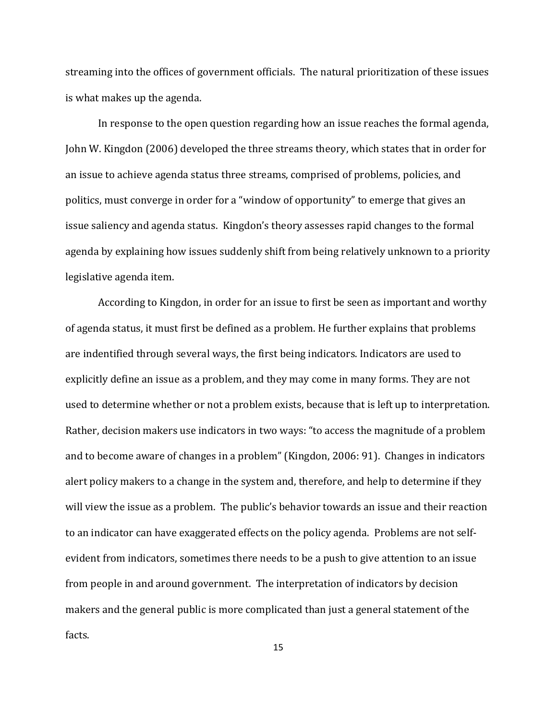streaming into the offices of government officials. The natural prioritization of these issues is what makes up the agenda.

In response to the open question regarding how an issue reaches the formal agenda, John W. Kingdon (2006) developed the three streams theory, which states that in order for an issue to achieve agenda status three streams, comprised of problems, policies, and politics, must converge in order for a "window of opportunity" to emerge that gives an issue saliency and agenda status. Kingdon's theory assesses rapid changes to the formal agenda by explaining how issues suddenly shift from being relatively unknown to a priority legislative agenda item.

According to Kingdon, in order for an issue to first be seen as important and worthy of agenda status, it must first be defined as a problem. He further explains that problems are indentified through several ways, the first being indicators. Indicators are used to explicitly define an issue as a problem, and they may come in many forms. They are not used to determine whether or not a problem exists, because that is left up to interpretation. Rather, decision makers use indicators in two ways: "to access the magnitude of a problem and to become aware of changes in a problem" (Kingdon, 2006: 91). Changes in indicators alert policy makers to a change in the system and, therefore, and help to determine if they will view the issue as a problem. The public's behavior towards an issue and their reaction to an indicator can have exaggerated effects on the policy agenda. Problems are not selfevident from indicators, sometimes there needs to be a push to give attention to an issue from people in and around government. The interpretation of indicators by decision makers and the general public is more complicated than just a general statement of the facts.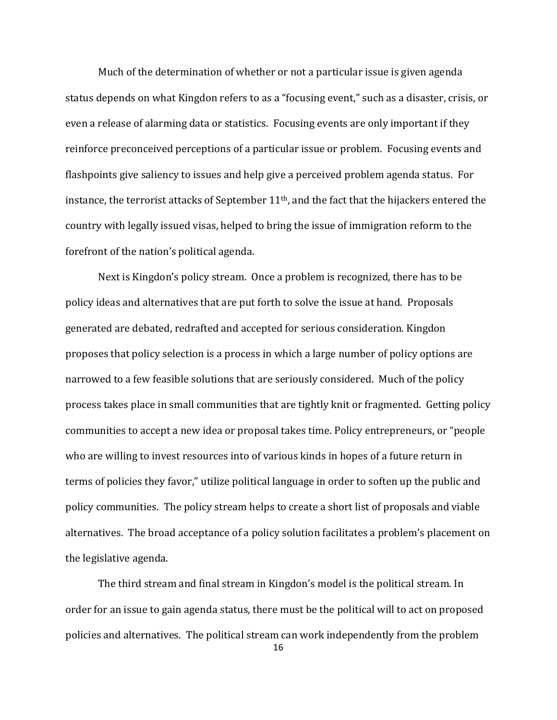Much of the determination of whether or not a particular issue is given agenda status depends on what Kingdon refers to as a "focusing event," such as a disaster, crisis, or even a release of alarming data or statistics. Focusing events are only important if they reinforce preconceived perceptions of a particular issue or problem. Focusing events and flashpoints give saliency to issues and help give a perceived problem agenda status. For instance, the terrorist attacks of September 11<sup>th</sup>, and the fact that the hijackers entered the country with legally issued visas, helped to bring the issue of immigration reform to the forefront of the nation's political agenda.

Next is Kingdon's policy stream. Once a problem is recognized, there has to be policy ideas and alternatives that are put forth to solve the issue at hand. Proposals generated are debated, redrafted and accepted for serious consideration. Kingdon proposes that policy selection is a process in which a large number of policy options are narrowed to a few feasible solutions that are seriously considered. Much of the policy process takes place in small communities that are tightly knit or fragmented. Getting policy communities to accept a new idea or proposal takes time. Policy entrepreneurs, or "people who are willing to invest resources into of various kinds in hopes of a future return in terms of policies they favor," utilize political language in order to soften up the public and policy communities. The policy stream helps to create a short list of proposals and viable alternatives. The broad acceptance of a policy solution facilitates a problem's placement on the legislative agenda.

The third stream and final stream in Kingdon's model is the political stream. In order for an issue to gain agenda status, there must be the political will to act on proposed policies and alternatives. The political stream can work independently from the problem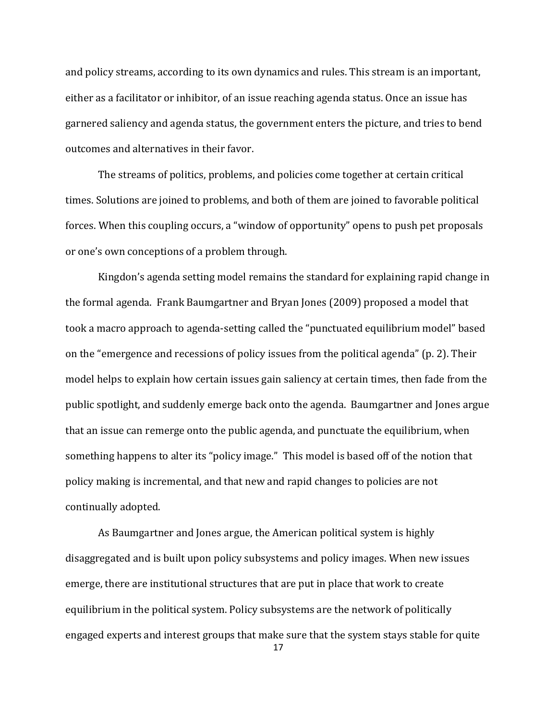and policy streams, according to its own dynamics and rules. This stream is an important, either as a facilitator or inhibitor, of an issue reaching agenda status. Once an issue has garnered saliency and agenda status, the government enters the picture, and tries to bend outcomes and alternatives in their favor.

The streams of politics, problems, and policies come together at certain critical times. Solutions are joined to problems, and both of them are joined to favorable political forces. When this coupling occurs, a "window of opportunity" opens to push pet proposals or one's own conceptions of a problem through.

Kingdon's agenda setting model remains the standard for explaining rapid change in the formal agenda. Frank Baumgartner and Bryan Jones (2009) proposed a model that took a macro approach to agenda-setting called the "punctuated equilibrium model" based on the "emergence and recessions of policy issues from the political agenda" (p. 2). Their model helps to explain how certain issues gain saliency at certain times, then fade from the public spotlight, and suddenly emerge back onto the agenda. Baumgartner and Jones argue that an issue can remerge onto the public agenda, and punctuate the equilibrium, when something happens to alter its "policy image." This model is based off of the notion that policy making is incremental, and that new and rapid changes to policies are not continually adopted.

As Baumgartner and Jones argue, the American political system is highly disaggregated and is built upon policy subsystems and policy images. When new issues emerge, there are institutional structures that are put in place that work to create equilibrium in the political system. Policy subsystems are the network of politically engaged experts and interest groups that make sure that the system stays stable for quite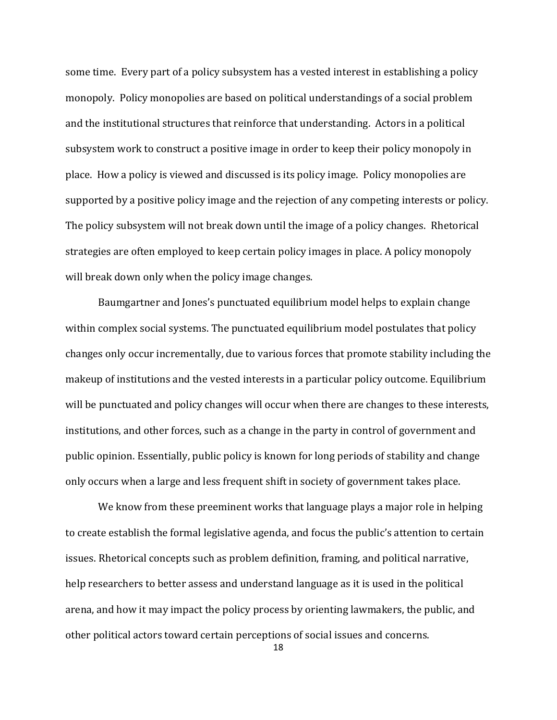some time. Every part of a policy subsystem has a vested interest in establishing a policy monopoly. Policy monopolies are based on political understandings of a social problem and the institutional structures that reinforce that understanding. Actors in a political subsystem work to construct a positive image in order to keep their policy monopoly in place. How a policy is viewed and discussed is its policy image. Policy monopolies are supported by a positive policy image and the rejection of any competing interests or policy. The policy subsystem will not break down until the image of a policy changes. Rhetorical strategies are often employed to keep certain policy images in place. A policy monopoly will break down only when the policy image changes.

Baumgartner and Jones's punctuated equilibrium model helps to explain change within complex social systems. The punctuated equilibrium model postulates that policy changes only occur incrementally, due to various forces that promote stability including the makeup of institutions and the vested interests in a particular policy outcome. Equilibrium will be punctuated and policy changes will occur when there are changes to these interests, institutions, and other forces, such as a change in the party in control of government and public opinion. Essentially, public policy is known for long periods of stability and change only occurs when a large and less frequent shift in society of government takes place.

We know from these preeminent works that language plays a major role in helping to create establish the formal legislative agenda, and focus the public's attention to certain issues. Rhetorical concepts such as problem definition, framing, and political narrative, help researchers to better assess and understand language as it is used in the political arena, and how it may impact the policy process by orienting lawmakers, the public, and other political actors toward certain perceptions of social issues and concerns.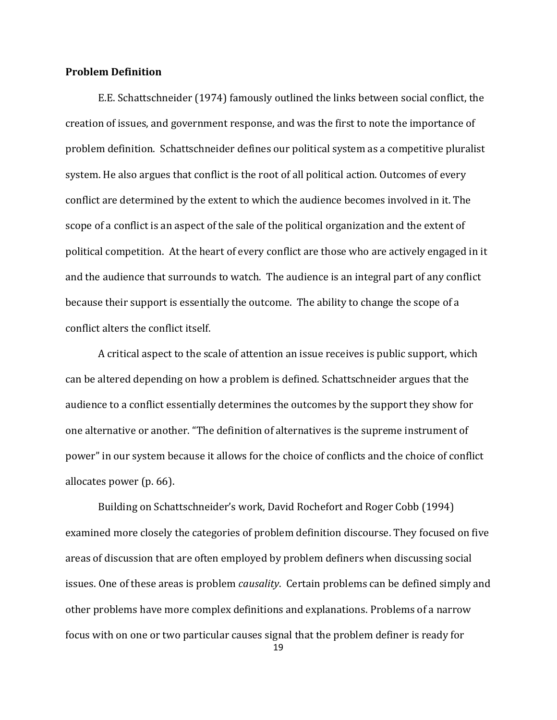## **Problem Definition**

E.E. Schattschneider (1974) famously outlined the links between social conflict, the creation of issues, and government response, and was the first to note the importance of problem definition. Schattschneider defines our political system as a competitive pluralist system. He also argues that conflict is the root of all political action. Outcomes of every conflict are determined by the extent to which the audience becomes involved in it. The scope of a conflict is an aspect of the sale of the political organization and the extent of political competition. At the heart of every conflict are those who are actively engaged in it and the audience that surrounds to watch. The audience is an integral part of any conflict because their support is essentially the outcome. The ability to change the scope of a conflict alters the conflict itself.

A critical aspect to the scale of attention an issue receives is public support, which can be altered depending on how a problem is defined. Schattschneider argues that the audience to a conflict essentially determines the outcomes by the support they show for one alternative or another. "The definition of alternatives is the supreme instrument of power" in our system because it allows for the choice of conflicts and the choice of conflict allocates power (p. 66).

Building on Schattschneider's work, David Rochefort and Roger Cobb (1994) examined more closely the categories of problem definition discourse. They focused on five areas of discussion that are often employed by problem definers when discussing social issues. One of these areas is problem *causality*. Certain problems can be defined simply and other problems have more complex definitions and explanations. Problems of a narrow focus with on one or two particular causes signal that the problem definer is ready for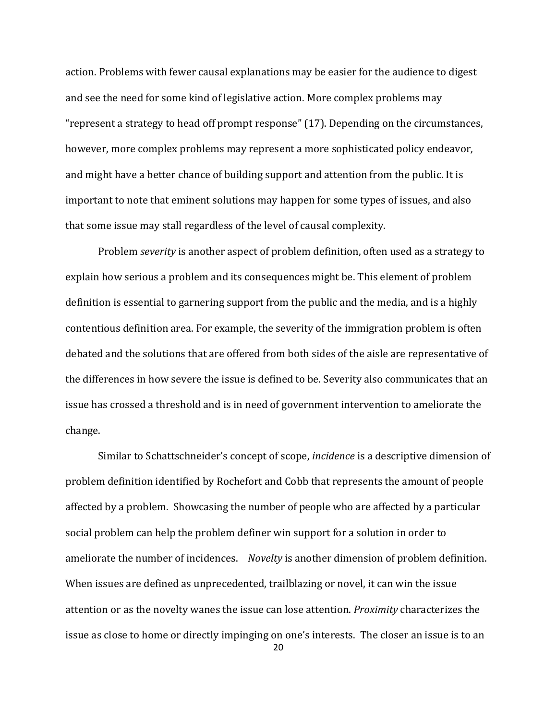action. Problems with fewer causal explanations may be easier for the audience to digest and see the need for some kind of legislative action. More complex problems may "represent a strategy to head off prompt response" (17). Depending on the circumstances, however, more complex problems may represent a more sophisticated policy endeavor, and might have a better chance of building support and attention from the public. It is important to note that eminent solutions may happen for some types of issues, and also that some issue may stall regardless of the level of causal complexity.

Problem *severity* is another aspect of problem definition, often used as a strategy to explain how serious a problem and its consequences might be. This element of problem definition is essential to garnering support from the public and the media, and is a highly contentious definition area. For example, the severity of the immigration problem is often debated and the solutions that are offered from both sides of the aisle are representative of the differences in how severe the issue is defined to be. Severity also communicates that an issue has crossed a threshold and is in need of government intervention to ameliorate the change.

Similar to Schattschneider's concept of scope, *incidence* is a descriptive dimension of problem definition identified by Rochefort and Cobb that represents the amount of people affected by a problem. Showcasing the number of people who are affected by a particular social problem can help the problem definer win support for a solution in order to ameliorate the number of incidences. *Novelty* is another dimension of problem definition. When issues are defined as unprecedented, trailblazing or novel, it can win the issue attention or as the novelty wanes the issue can lose attention. *Proximity* characterizes the issue as close to home or directly impinging on one's interests. The closer an issue is to an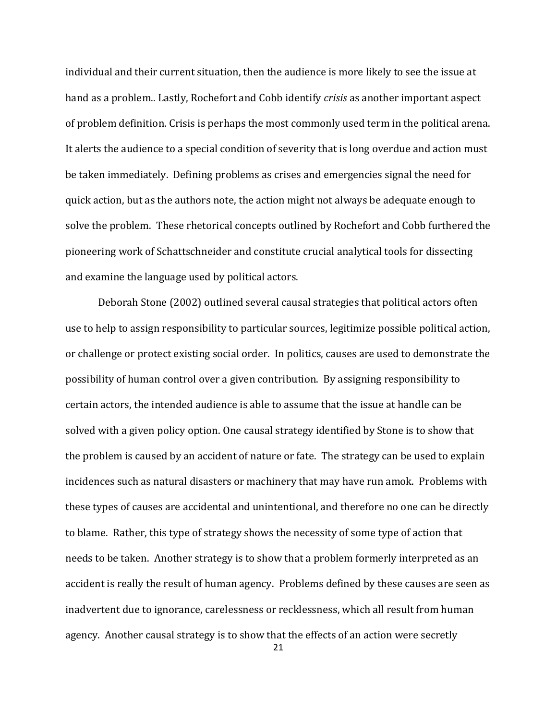individual and their current situation, then the audience is more likely to see the issue at hand as a problem.. Lastly, Rochefort and Cobb identify *crisis* as another important aspect of problem definition. Crisis is perhaps the most commonly used term in the political arena. It alerts the audience to a special condition of severity that is long overdue and action must be taken immediately. Defining problems as crises and emergencies signal the need for quick action, but as the authors note, the action might not always be adequate enough to solve the problem. These rhetorical concepts outlined by Rochefort and Cobb furthered the pioneering work of Schattschneider and constitute crucial analytical tools for dissecting and examine the language used by political actors.

Deborah Stone (2002) outlined several causal strategies that political actors often use to help to assign responsibility to particular sources, legitimize possible political action, or challenge or protect existing social order. In politics, causes are used to demonstrate the possibility of human control over a given contribution. By assigning responsibility to certain actors, the intended audience is able to assume that the issue at handle can be solved with a given policy option. One causal strategy identified by Stone is to show that the problem is caused by an accident of nature or fate. The strategy can be used to explain incidences such as natural disasters or machinery that may have run amok. Problems with these types of causes are accidental and unintentional, and therefore no one can be directly to blame. Rather, this type of strategy shows the necessity of some type of action that needs to be taken. Another strategy is to show that a problem formerly interpreted as an accident is really the result of human agency. Problems defined by these causes are seen as inadvertent due to ignorance, carelessness or recklessness, which all result from human agency. Another causal strategy is to show that the effects of an action were secretly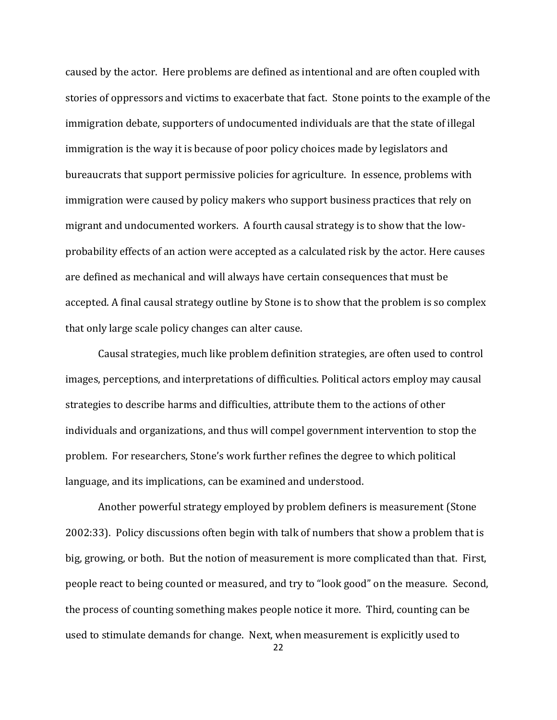caused by the actor. Here problems are defined as intentional and are often coupled with stories of oppressors and victims to exacerbate that fact. Stone points to the example of the immigration debate, supporters of undocumented individuals are that the state of illegal immigration is the way it is because of poor policy choices made by legislators and bureaucrats that support permissive policies for agriculture. In essence, problems with immigration were caused by policy makers who support business practices that rely on migrant and undocumented workers. A fourth causal strategy is to show that the lowprobability effects of an action were accepted as a calculated risk by the actor. Here causes are defined as mechanical and will always have certain consequences that must be accepted. A final causal strategy outline by Stone is to show that the problem is so complex that only large scale policy changes can alter cause.

Causal strategies, much like problem definition strategies, are often used to control images, perceptions, and interpretations of difficulties. Political actors employ may causal strategies to describe harms and difficulties, attribute them to the actions of other individuals and organizations, and thus will compel government intervention to stop the problem. For researchers, Stone's work further refines the degree to which political language, and its implications, can be examined and understood.

Another powerful strategy employed by problem definers is measurement (Stone 2002:33). Policy discussions often begin with talk of numbers that show a problem that is big, growing, or both. But the notion of measurement is more complicated than that. First, people react to being counted or measured, and try to "look good" on the measure. Second, the process of counting something makes people notice it more. Third, counting can be used to stimulate demands for change. Next, when measurement is explicitly used to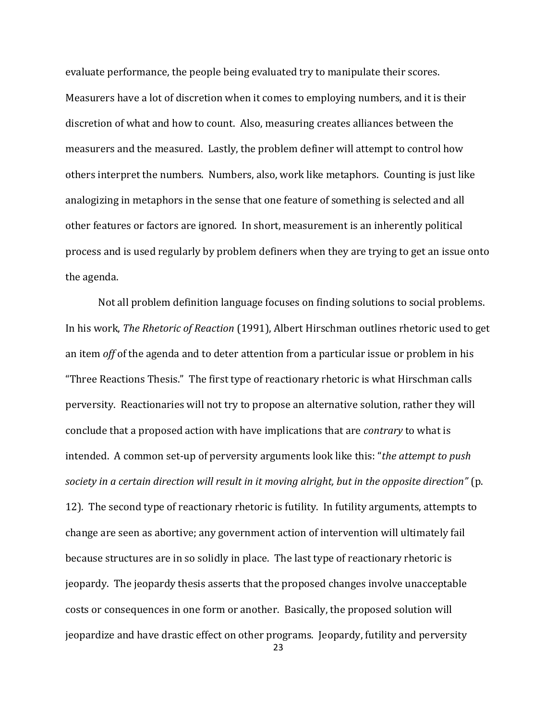evaluate performance, the people being evaluated try to manipulate their scores. Measurers have a lot of discretion when it comes to employing numbers, and it is their discretion of what and how to count. Also, measuring creates alliances between the measurers and the measured. Lastly, the problem definer will attempt to control how others interpret the numbers. Numbers, also, work like metaphors. Counting is just like analogizing in metaphors in the sense that one feature of something is selected and all other features or factors are ignored. In short, measurement is an inherently political process and is used regularly by problem definers when they are trying to get an issue onto the agenda.

Not all problem definition language focuses on finding solutions to social problems. In his work, *The Rhetoric of Reaction* (1991), Albert Hirschman outlines rhetoric used to get an item *off* of the agenda and to deter attention from a particular issue or problem in his "Three Reactions Thesis." The first type of reactionary rhetoric is what Hirschman calls perversity. Reactionaries will not try to propose an alternative solution, rather they will conclude that a proposed action with have implications that are *contrary* to what is intended. A common set-up of perversity arguments look like this: "*the attempt to push society in a certain direction will result in it moving alright, but in the opposite direction"* (p. 12)*.* The second type of reactionary rhetoric is futility. In futility arguments, attempts to change are seen as abortive; any government action of intervention will ultimately fail because structures are in so solidly in place. The last type of reactionary rhetoric is jeopardy. The jeopardy thesis asserts that the proposed changes involve unacceptable costs or consequences in one form or another. Basically, the proposed solution will jeopardize and have drastic effect on other programs. Jeopardy, futility and perversity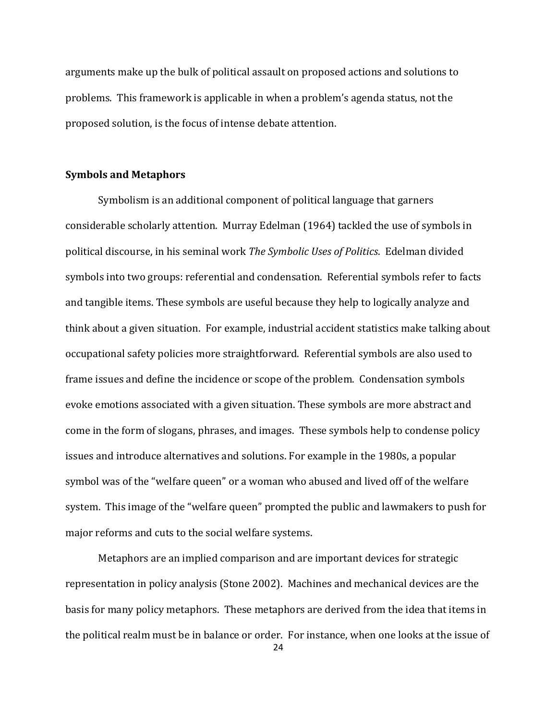arguments make up the bulk of political assault on proposed actions and solutions to problems. This framework is applicable in when a problem's agenda status, not the proposed solution, is the focus of intense debate attention.

#### **Symbols and Metaphors**

Symbolism is an additional component of political language that garners considerable scholarly attention. Murray Edelman (1964) tackled the use of symbols in political discourse, in his seminal work *The Symbolic Uses of Politics*. Edelman divided symbols into two groups: referential and condensation. Referential symbols refer to facts and tangible items. These symbols are useful because they help to logically analyze and think about a given situation. For example, industrial accident statistics make talking about occupational safety policies more straightforward. Referential symbols are also used to frame issues and define the incidence or scope of the problem. Condensation symbols evoke emotions associated with a given situation. These symbols are more abstract and come in the form of slogans, phrases, and images. These symbols help to condense policy issues and introduce alternatives and solutions. For example in the 1980s, a popular symbol was of the "welfare queen" or a woman who abused and lived off of the welfare system. This image of the "welfare queen" prompted the public and lawmakers to push for major reforms and cuts to the social welfare systems.

Metaphors are an implied comparison and are important devices for strategic representation in policy analysis (Stone 2002). Machines and mechanical devices are the basis for many policy metaphors. These metaphors are derived from the idea that items in the political realm must be in balance or order. For instance, when one looks at the issue of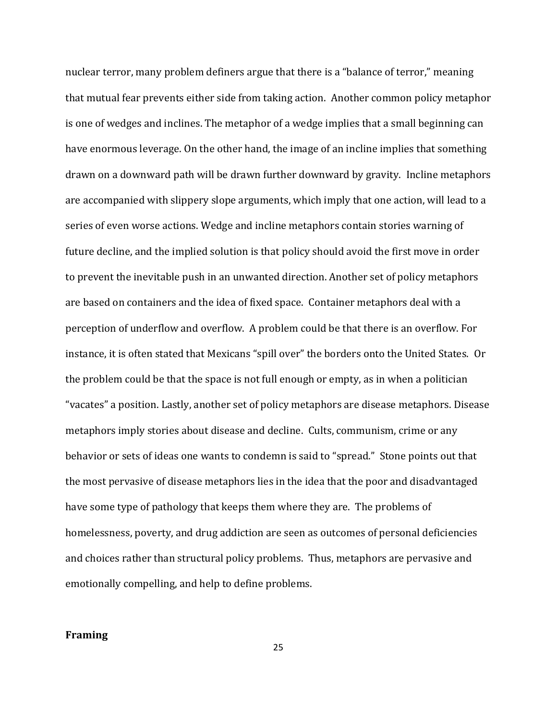nuclear terror, many problem definers argue that there is a "balance of terror," meaning that mutual fear prevents either side from taking action. Another common policy metaphor is one of wedges and inclines. The metaphor of a wedge implies that a small beginning can have enormous leverage. On the other hand, the image of an incline implies that something drawn on a downward path will be drawn further downward by gravity. Incline metaphors are accompanied with slippery slope arguments, which imply that one action, will lead to a series of even worse actions. Wedge and incline metaphors contain stories warning of future decline, and the implied solution is that policy should avoid the first move in order to prevent the inevitable push in an unwanted direction. Another set of policy metaphors are based on containers and the idea of fixed space. Container metaphors deal with a perception of underflow and overflow. A problem could be that there is an overflow. For instance, it is often stated that Mexicans "spill over" the borders onto the United States. Or the problem could be that the space is not full enough or empty, as in when a politician "vacates" a position. Lastly, another set of policy metaphors are disease metaphors. Disease metaphors imply stories about disease and decline. Cults, communism, crime or any behavior or sets of ideas one wants to condemn is said to "spread." Stone points out that the most pervasive of disease metaphors lies in the idea that the poor and disadvantaged have some type of pathology that keeps them where they are. The problems of homelessness, poverty, and drug addiction are seen as outcomes of personal deficiencies and choices rather than structural policy problems. Thus, metaphors are pervasive and emotionally compelling, and help to define problems.

## **Framing**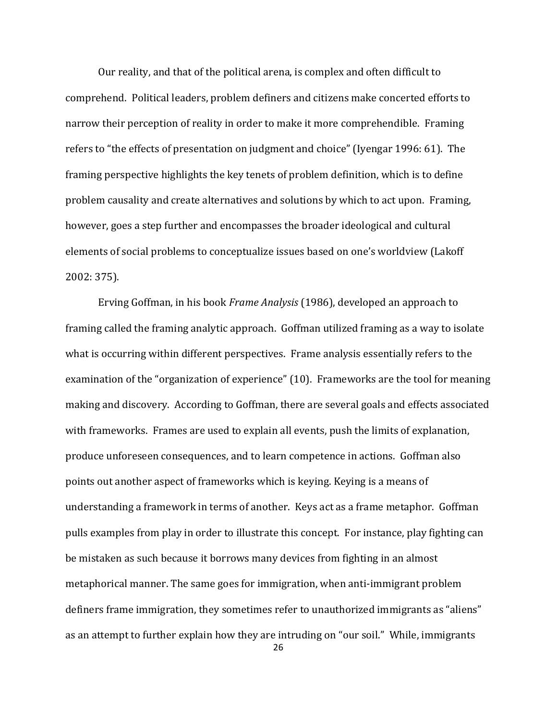Our reality, and that of the political arena, is complex and often difficult to comprehend. Political leaders, problem definers and citizens make concerted efforts to narrow their perception of reality in order to make it more comprehendible. Framing refers to "the effects of presentation on judgment and choice" (Iyengar 1996: 61). The framing perspective highlights the key tenets of problem definition, which is to define problem causality and create alternatives and solutions by which to act upon. Framing, however, goes a step further and encompasses the broader ideological and cultural elements of social problems to conceptualize issues based on one's worldview (Lakoff 2002: 375).

Erving Goffman, in his book *Frame Analysis* (1986), developed an approach to framing called the framing analytic approach. Goffman utilized framing as a way to isolate what is occurring within different perspectives. Frame analysis essentially refers to the examination of the "organization of experience" (10). Frameworks are the tool for meaning making and discovery. According to Goffman, there are several goals and effects associated with frameworks. Frames are used to explain all events, push the limits of explanation, produce unforeseen consequences, and to learn competence in actions. Goffman also points out another aspect of frameworks which is keying. Keying is a means of understanding a framework in terms of another. Keys act as a frame metaphor. Goffman pulls examples from play in order to illustrate this concept. For instance, play fighting can be mistaken as such because it borrows many devices from fighting in an almost metaphorical manner. The same goes for immigration, when anti-immigrant problem definers frame immigration, they sometimes refer to unauthorized immigrants as "aliens" as an attempt to further explain how they are intruding on "our soil." While, immigrants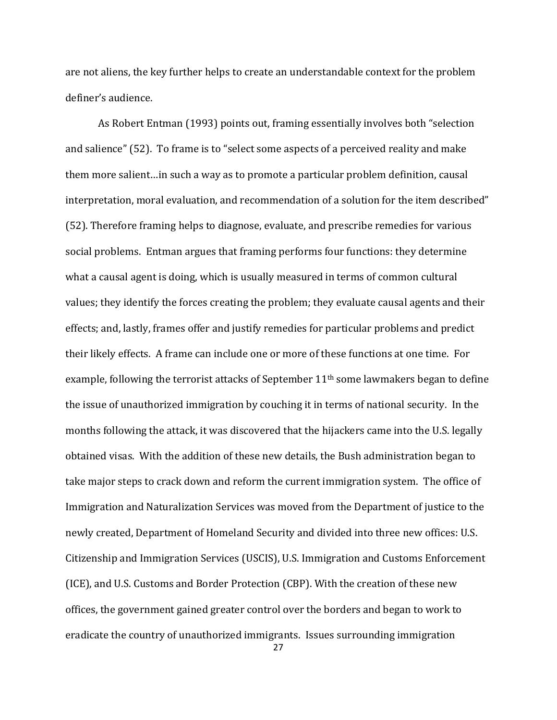are not aliens, the key further helps to create an understandable context for the problem definer's audience.

As Robert Entman (1993) points out, framing essentially involves both "selection and salience" (52). To frame is to "select some aspects of a perceived reality and make them more salient…in such a way as to promote a particular problem definition, causal interpretation, moral evaluation, and recommendation of a solution for the item described" (52). Therefore framing helps to diagnose, evaluate, and prescribe remedies for various social problems. Entman argues that framing performs four functions: they determine what a causal agent is doing, which is usually measured in terms of common cultural values; they identify the forces creating the problem; they evaluate causal agents and their effects; and, lastly, frames offer and justify remedies for particular problems and predict their likely effects. A frame can include one or more of these functions at one time. For example, following the terrorist attacks of September  $11<sup>th</sup>$  some lawmakers began to define the issue of unauthorized immigration by couching it in terms of national security. In the months following the attack, it was discovered that the hijackers came into the U.S. legally obtained visas. With the addition of these new details, the Bush administration began to take major steps to crack down and reform the current immigration system. The office of Immigration and Naturalization Services was moved from the Department of justice to the newly created, Department of Homeland Security and divided into three new offices: U.S. Citizenship and Immigration Services (USCIS), U.S. Immigration and Customs Enforcement (ICE), and U.S. Customs and Border Protection (CBP). With the creation of these new offices, the government gained greater control over the borders and began to work to eradicate the country of unauthorized immigrants. Issues surrounding immigration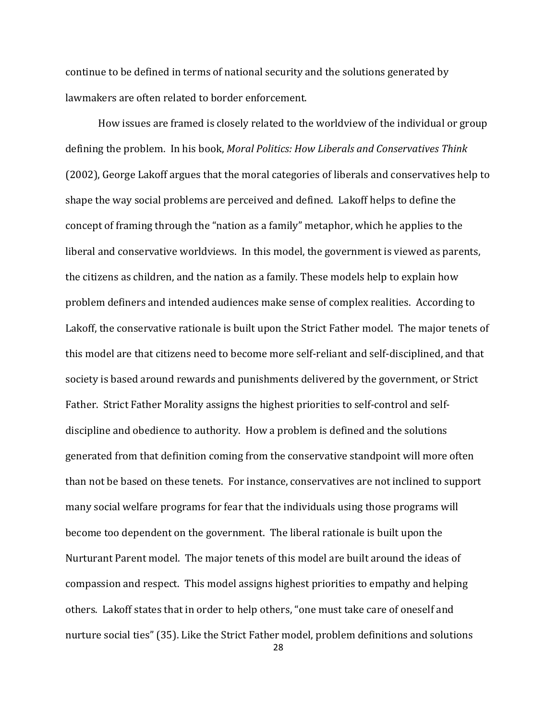continue to be defined in terms of national security and the solutions generated by lawmakers are often related to border enforcement.

How issues are framed is closely related to the worldview of the individual or group defining the problem. In his book, *Moral Politics: How Liberals and Conservatives Think* (2002), George Lakoff argues that the moral categories of liberals and conservatives help to shape the way social problems are perceived and defined. Lakoff helps to define the concept of framing through the "nation as a family" metaphor, which he applies to the liberal and conservative worldviews. In this model, the government is viewed as parents, the citizens as children, and the nation as a family. These models help to explain how problem definers and intended audiences make sense of complex realities. According to Lakoff, the conservative rationale is built upon the Strict Father model. The major tenets of this model are that citizens need to become more self-reliant and self-disciplined, and that society is based around rewards and punishments delivered by the government, or Strict Father. Strict Father Morality assigns the highest priorities to self-control and selfdiscipline and obedience to authority. How a problem is defined and the solutions generated from that definition coming from the conservative standpoint will more often than not be based on these tenets. For instance, conservatives are not inclined to support many social welfare programs for fear that the individuals using those programs will become too dependent on the government. The liberal rationale is built upon the Nurturant Parent model. The major tenets of this model are built around the ideas of compassion and respect. This model assigns highest priorities to empathy and helping others. Lakoff states that in order to help others, "one must take care of oneself and nurture social ties" (35). Like the Strict Father model, problem definitions and solutions

<sup>28</sup>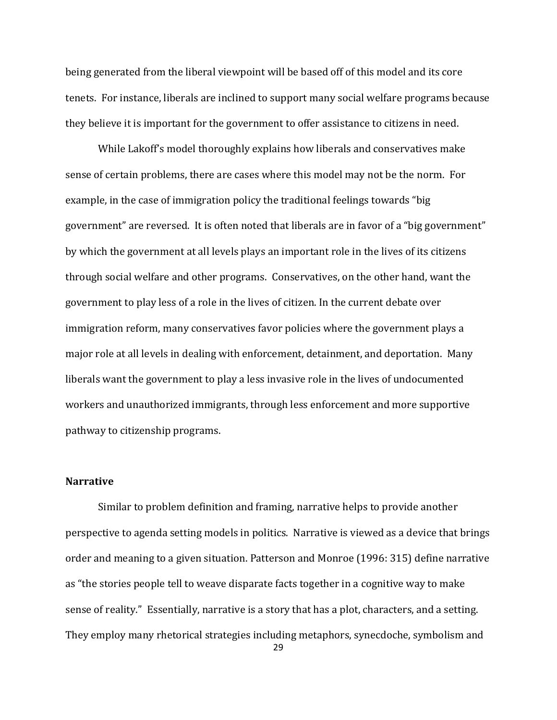being generated from the liberal viewpoint will be based off of this model and its core tenets. For instance, liberals are inclined to support many social welfare programs because they believe it is important for the government to offer assistance to citizens in need.

While Lakoff's model thoroughly explains how liberals and conservatives make sense of certain problems, there are cases where this model may not be the norm. For example, in the case of immigration policy the traditional feelings towards "big government" are reversed. It is often noted that liberals are in favor of a "big government" by which the government at all levels plays an important role in the lives of its citizens through social welfare and other programs. Conservatives, on the other hand, want the government to play less of a role in the lives of citizen. In the current debate over immigration reform, many conservatives favor policies where the government plays a major role at all levels in dealing with enforcement, detainment, and deportation. Many liberals want the government to play a less invasive role in the lives of undocumented workers and unauthorized immigrants, through less enforcement and more supportive pathway to citizenship programs.

## **Narrative**

Similar to problem definition and framing, narrative helps to provide another perspective to agenda setting models in politics. Narrative is viewed as a device that brings order and meaning to a given situation. Patterson and Monroe (1996: 315) define narrative as "the stories people tell to weave disparate facts together in a cognitive way to make sense of reality." Essentially, narrative is a story that has a plot, characters, and a setting. They employ many rhetorical strategies including metaphors, synecdoche, symbolism and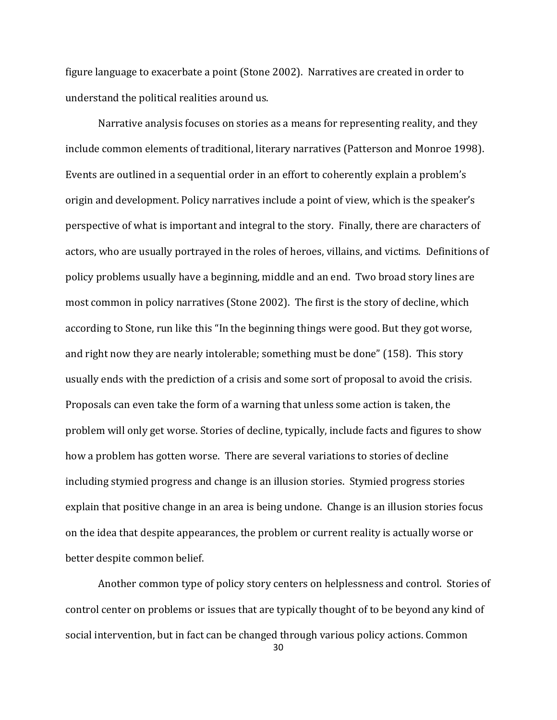figure language to exacerbate a point (Stone 2002). Narratives are created in order to understand the political realities around us.

Narrative analysis focuses on stories as a means for representing reality, and they include common elements of traditional, literary narratives (Patterson and Monroe 1998). Events are outlined in a sequential order in an effort to coherently explain a problem's origin and development. Policy narratives include a point of view, which is the speaker's perspective of what is important and integral to the story. Finally, there are characters of actors, who are usually portrayed in the roles of heroes, villains, and victims. Definitions of policy problems usually have a beginning, middle and an end. Two broad story lines are most common in policy narratives (Stone 2002). The first is the story of decline, which according to Stone, run like this "In the beginning things were good. But they got worse, and right now they are nearly intolerable; something must be done" (158). This story usually ends with the prediction of a crisis and some sort of proposal to avoid the crisis. Proposals can even take the form of a warning that unless some action is taken, the problem will only get worse. Stories of decline, typically, include facts and figures to show how a problem has gotten worse. There are several variations to stories of decline including stymied progress and change is an illusion stories. Stymied progress stories explain that positive change in an area is being undone. Change is an illusion stories focus on the idea that despite appearances, the problem or current reality is actually worse or better despite common belief.

Another common type of policy story centers on helplessness and control. Stories of control center on problems or issues that are typically thought of to be beyond any kind of social intervention, but in fact can be changed through various policy actions. Common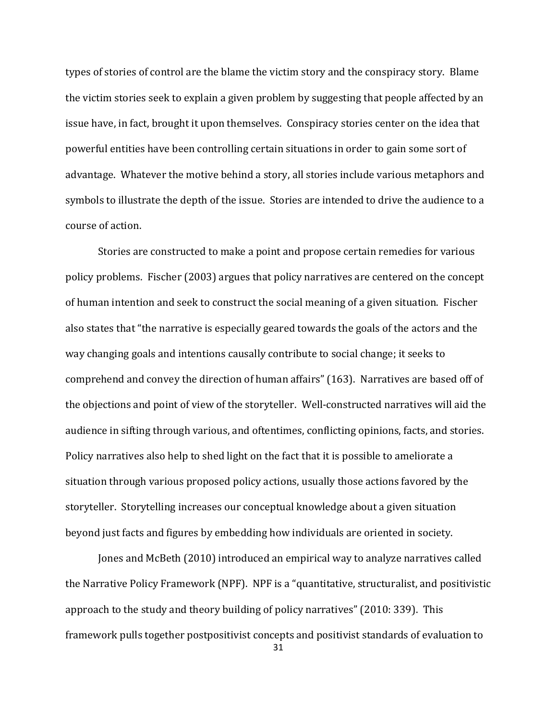types of stories of control are the blame the victim story and the conspiracy story. Blame the victim stories seek to explain a given problem by suggesting that people affected by an issue have, in fact, brought it upon themselves. Conspiracy stories center on the idea that powerful entities have been controlling certain situations in order to gain some sort of advantage. Whatever the motive behind a story, all stories include various metaphors and symbols to illustrate the depth of the issue. Stories are intended to drive the audience to a course of action.

Stories are constructed to make a point and propose certain remedies for various policy problems. Fischer (2003) argues that policy narratives are centered on the concept of human intention and seek to construct the social meaning of a given situation. Fischer also states that "the narrative is especially geared towards the goals of the actors and the way changing goals and intentions causally contribute to social change; it seeks to comprehend and convey the direction of human affairs" (163). Narratives are based off of the objections and point of view of the storyteller. Well-constructed narratives will aid the audience in sifting through various, and oftentimes, conflicting opinions, facts, and stories. Policy narratives also help to shed light on the fact that it is possible to ameliorate a situation through various proposed policy actions, usually those actions favored by the storyteller. Storytelling increases our conceptual knowledge about a given situation beyond just facts and figures by embedding how individuals are oriented in society.

Jones and McBeth (2010) introduced an empirical way to analyze narratives called the Narrative Policy Framework (NPF). NPF is a "quantitative, structuralist, and positivistic approach to the study and theory building of policy narratives" (2010: 339). This framework pulls together postpositivist concepts and positivist standards of evaluation to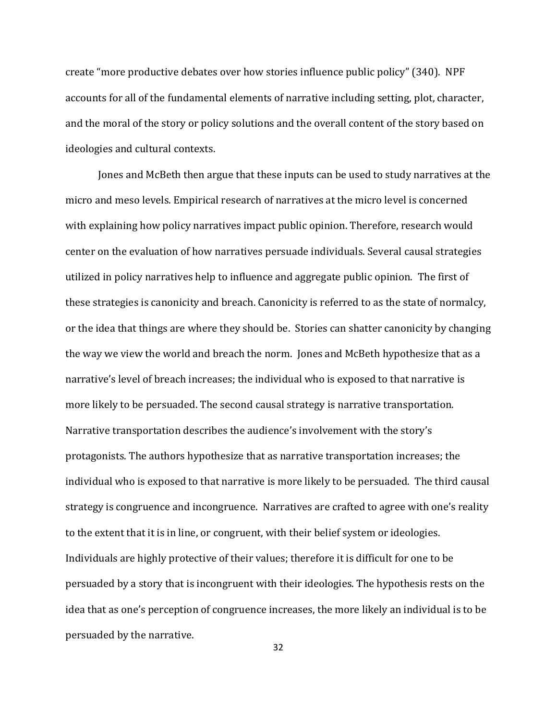create "more productive debates over how stories influence public policy" (340). NPF accounts for all of the fundamental elements of narrative including setting, plot, character, and the moral of the story or policy solutions and the overall content of the story based on ideologies and cultural contexts.

Jones and McBeth then argue that these inputs can be used to study narratives at the micro and meso levels. Empirical research of narratives at the micro level is concerned with explaining how policy narratives impact public opinion. Therefore, research would center on the evaluation of how narratives persuade individuals. Several causal strategies utilized in policy narratives help to influence and aggregate public opinion. The first of these strategies is canonicity and breach. Canonicity is referred to as the state of normalcy, or the idea that things are where they should be. Stories can shatter canonicity by changing the way we view the world and breach the norm. Jones and McBeth hypothesize that as a narrative's level of breach increases; the individual who is exposed to that narrative is more likely to be persuaded. The second causal strategy is narrative transportation. Narrative transportation describes the audience's involvement with the story's protagonists. The authors hypothesize that as narrative transportation increases; the individual who is exposed to that narrative is more likely to be persuaded. The third causal strategy is congruence and incongruence. Narratives are crafted to agree with one's reality to the extent that it is in line, or congruent, with their belief system or ideologies. Individuals are highly protective of their values; therefore it is difficult for one to be persuaded by a story that is incongruent with their ideologies. The hypothesis rests on the idea that as one's perception of congruence increases, the more likely an individual is to be persuaded by the narrative.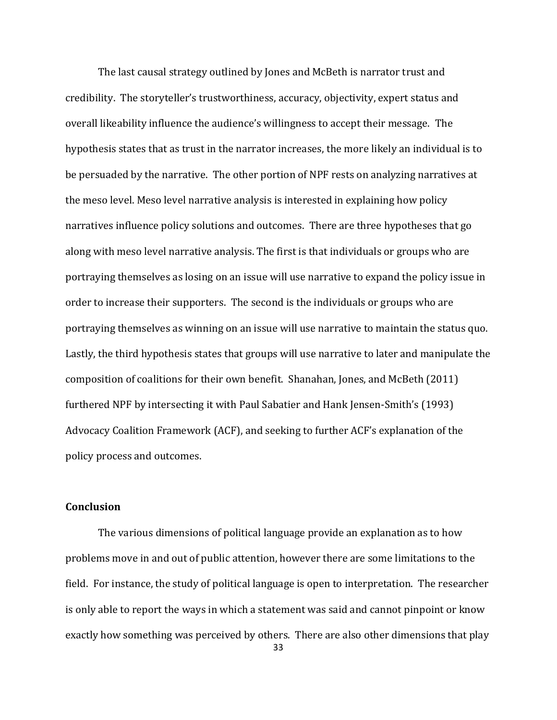The last causal strategy outlined by Jones and McBeth is narrator trust and credibility. The storyteller's trustworthiness, accuracy, objectivity, expert status and overall likeability influence the audience's willingness to accept their message. The hypothesis states that as trust in the narrator increases, the more likely an individual is to be persuaded by the narrative. The other portion of NPF rests on analyzing narratives at the meso level. Meso level narrative analysis is interested in explaining how policy narratives influence policy solutions and outcomes. There are three hypotheses that go along with meso level narrative analysis. The first is that individuals or groups who are portraying themselves as losing on an issue will use narrative to expand the policy issue in order to increase their supporters. The second is the individuals or groups who are portraying themselves as winning on an issue will use narrative to maintain the status quo. Lastly, the third hypothesis states that groups will use narrative to later and manipulate the composition of coalitions for their own benefit. Shanahan, Jones, and McBeth (2011) furthered NPF by intersecting it with Paul Sabatier and Hank Jensen-Smith's (1993) Advocacy Coalition Framework (ACF), and seeking to further ACF's explanation of the policy process and outcomes.

## **Conclusion**

33 The various dimensions of political language provide an explanation as to how problems move in and out of public attention, however there are some limitations to the field. For instance, the study of political language is open to interpretation. The researcher is only able to report the ways in which a statement was said and cannot pinpoint or know exactly how something was perceived by others. There are also other dimensions that play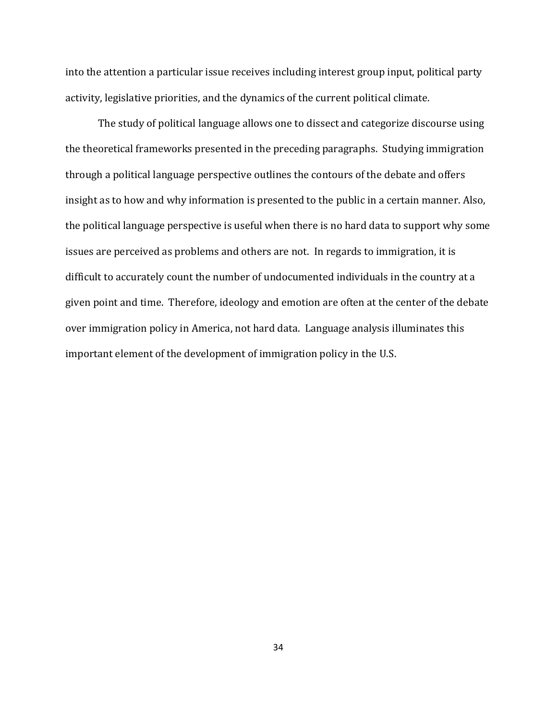into the attention a particular issue receives including interest group input, political party activity, legislative priorities, and the dynamics of the current political climate.

The study of political language allows one to dissect and categorize discourse using the theoretical frameworks presented in the preceding paragraphs. Studying immigration through a political language perspective outlines the contours of the debate and offers insight as to how and why information is presented to the public in a certain manner. Also, the political language perspective is useful when there is no hard data to support why some issues are perceived as problems and others are not. In regards to immigration, it is difficult to accurately count the number of undocumented individuals in the country at a given point and time. Therefore, ideology and emotion are often at the center of the debate over immigration policy in America, not hard data. Language analysis illuminates this important element of the development of immigration policy in the U.S.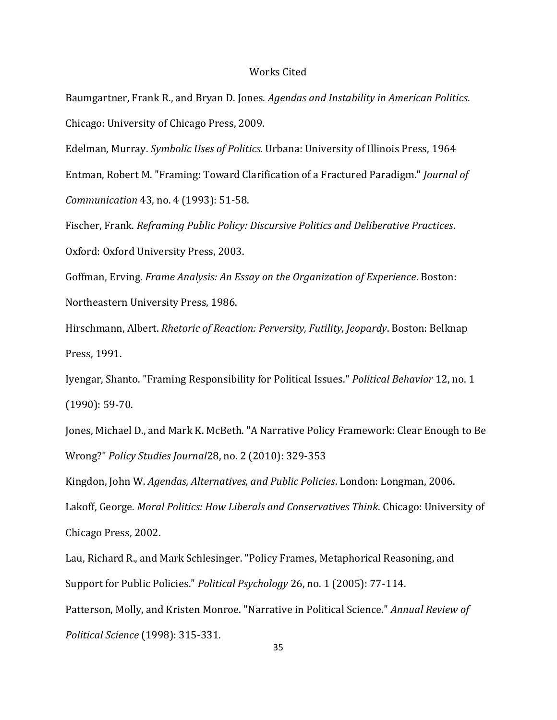### Works Cited

Baumgartner, Frank R., and Bryan D. Jones. *Agendas and Instability in American Politics*. Chicago: University of Chicago Press, 2009.

Edelman, Murray. *Symbolic Uses of Politics.* Urbana: University of Illinois Press, 1964 Entman, Robert M. "Framing: Toward Clarification of a Fractured Paradigm." *Journal of Communication* 43, no. 4 (1993): 51-58.

Fischer, Frank. *Reframing Public Policy: Discursive Politics and Deliberative Practices*. Oxford: Oxford University Press, 2003.

Goffman, Erving. *Frame Analysis: An Essay on the Organization of Experience*. Boston: Northeastern University Press, 1986.

Hirschmann, Albert. *Rhetoric of Reaction: Perversity, Futility, Jeopardy*. Boston: Belknap Press, 1991.

Iyengar, Shanto. "Framing Responsibility for Political Issues." *Political Behavior* 12, no. 1 (1990): 59-70.

Jones, Michael D., and Mark K. McBeth. "A Narrative Policy Framework: Clear Enough to Be Wrong?" *Policy Studies Journal*28, no. 2 (2010): 329-353

Kingdon, John W. *Agendas, Alternatives, and Public Policies*. London: Longman, 2006. Lakoff, George. *Moral Politics: How Liberals and Conservatives Think*. Chicago: University of Chicago Press, 2002.

Lau, Richard R., and Mark Schlesinger. "Policy Frames, Metaphorical Reasoning, and Support for Public Policies." *Political Psychology* 26, no. 1 (2005): 77-114. Patterson, Molly, and Kristen Monroe. "Narrative in Political Science." *Annual Review of Political Science* (1998): 315-331.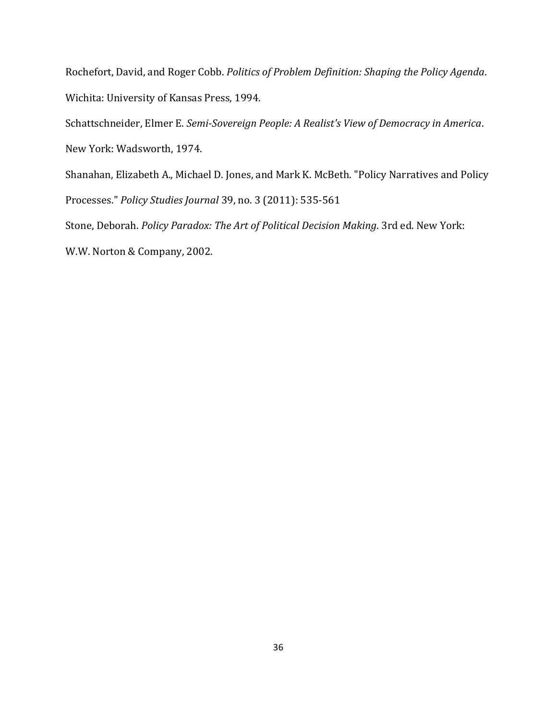Rochefort, David, and Roger Cobb. *Politics of Problem Definition: Shaping the Policy Agenda*. Wichita: University of Kansas Press, 1994.

Schattschneider, Elmer E. *Semi-Sovereign People: A Realist's View of Democracy in America*.

New York: Wadsworth, 1974.

Shanahan, Elizabeth A., Michael D. Jones, and Mark K. McBeth. "Policy Narratives and Policy Processes." *Policy Studies Journal* 39, no. 3 (2011): 535-561 Stone, Deborah. *Policy Paradox: The Art of Political Decision Making*. 3rd ed. New York:

W.W. Norton & Company, 2002.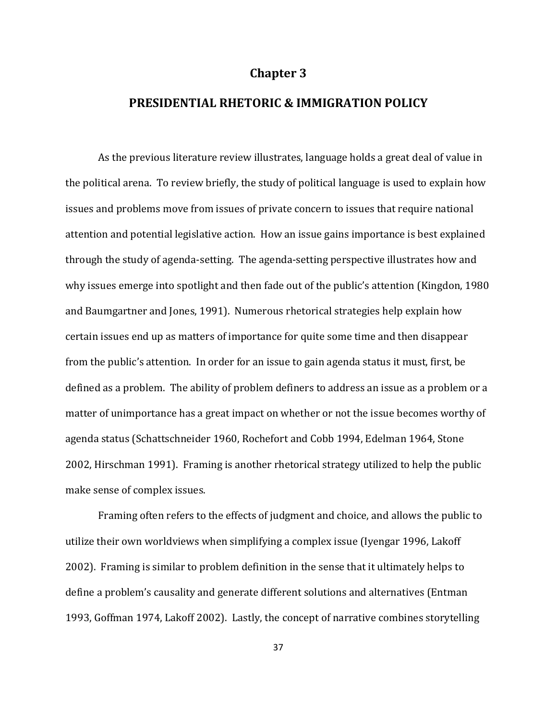## **Chapter 3**

# **PRESIDENTIAL RHETORIC & IMMIGRATION POLICY**

As the previous literature review illustrates, language holds a great deal of value in the political arena. To review briefly, the study of political language is used to explain how issues and problems move from issues of private concern to issues that require national attention and potential legislative action. How an issue gains importance is best explained through the study of agenda-setting. The agenda-setting perspective illustrates how and why issues emerge into spotlight and then fade out of the public's attention (Kingdon, 1980 and Baumgartner and Jones, 1991). Numerous rhetorical strategies help explain how certain issues end up as matters of importance for quite some time and then disappear from the public's attention. In order for an issue to gain agenda status it must, first, be defined as a problem. The ability of problem definers to address an issue as a problem or a matter of unimportance has a great impact on whether or not the issue becomes worthy of agenda status (Schattschneider 1960, Rochefort and Cobb 1994, Edelman 1964, Stone 2002, Hirschman 1991). Framing is another rhetorical strategy utilized to help the public make sense of complex issues.

Framing often refers to the effects of judgment and choice, and allows the public to utilize their own worldviews when simplifying a complex issue (Iyengar 1996, Lakoff 2002). Framing is similar to problem definition in the sense that it ultimately helps to define a problem's causality and generate different solutions and alternatives (Entman 1993, Goffman 1974, Lakoff 2002). Lastly, the concept of narrative combines storytelling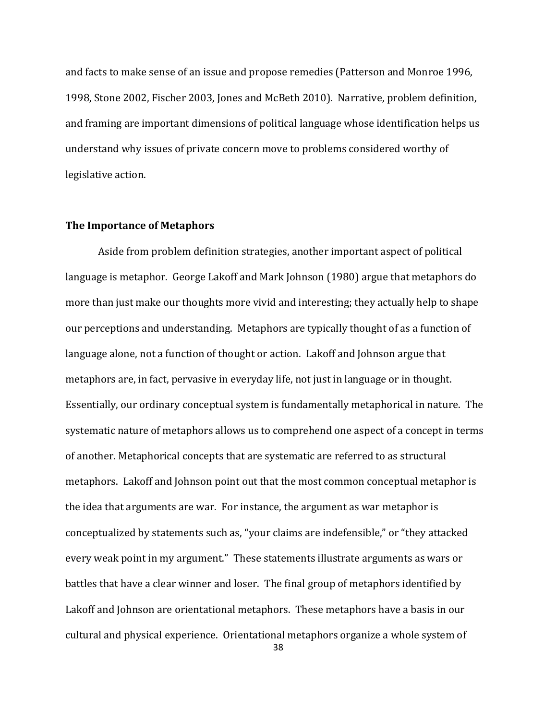and facts to make sense of an issue and propose remedies (Patterson and Monroe 1996, 1998, Stone 2002, Fischer 2003, Jones and McBeth 2010). Narrative, problem definition, and framing are important dimensions of political language whose identification helps us understand why issues of private concern move to problems considered worthy of legislative action.

#### **The Importance of Metaphors**

Aside from problem definition strategies, another important aspect of political language is metaphor. George Lakoff and Mark Johnson (1980) argue that metaphors do more than just make our thoughts more vivid and interesting; they actually help to shape our perceptions and understanding. Metaphors are typically thought of as a function of language alone, not a function of thought or action. Lakoff and Johnson argue that metaphors are, in fact, pervasive in everyday life, not just in language or in thought. Essentially, our ordinary conceptual system is fundamentally metaphorical in nature. The systematic nature of metaphors allows us to comprehend one aspect of a concept in terms of another. Metaphorical concepts that are systematic are referred to as structural metaphors. Lakoff and Johnson point out that the most common conceptual metaphor is the idea that arguments are war. For instance, the argument as war metaphor is conceptualized by statements such as, "your claims are indefensible," or "they attacked every weak point in my argument." These statements illustrate arguments as wars or battles that have a clear winner and loser. The final group of metaphors identified by Lakoff and Johnson are orientational metaphors. These metaphors have a basis in our cultural and physical experience. Orientational metaphors organize a whole system of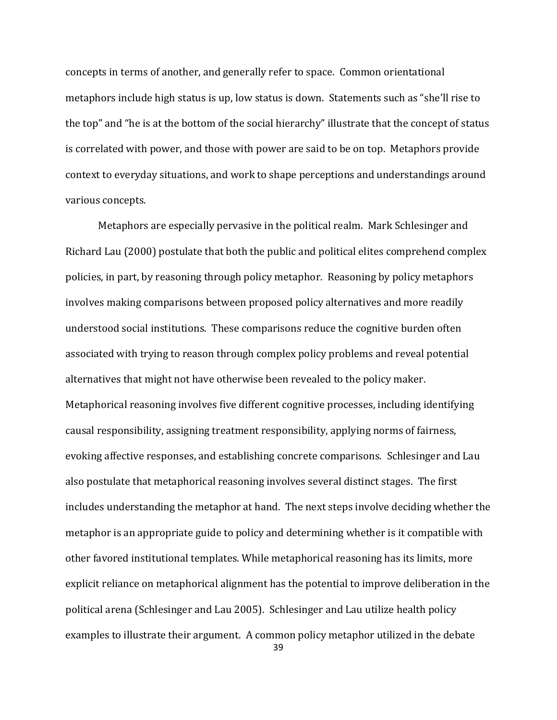concepts in terms of another, and generally refer to space. Common orientational metaphors include high status is up, low status is down. Statements such as "she'll rise to the top" and "he is at the bottom of the social hierarchy" illustrate that the concept of status is correlated with power, and those with power are said to be on top. Metaphors provide context to everyday situations, and work to shape perceptions and understandings around various concepts.

39 Metaphors are especially pervasive in the political realm. Mark Schlesinger and Richard Lau (2000) postulate that both the public and political elites comprehend complex policies, in part, by reasoning through policy metaphor. Reasoning by policy metaphors involves making comparisons between proposed policy alternatives and more readily understood social institutions. These comparisons reduce the cognitive burden often associated with trying to reason through complex policy problems and reveal potential alternatives that might not have otherwise been revealed to the policy maker. Metaphorical reasoning involves five different cognitive processes, including identifying causal responsibility, assigning treatment responsibility, applying norms of fairness, evoking affective responses, and establishing concrete comparisons. Schlesinger and Lau also postulate that metaphorical reasoning involves several distinct stages. The first includes understanding the metaphor at hand. The next steps involve deciding whether the metaphor is an appropriate guide to policy and determining whether is it compatible with other favored institutional templates. While metaphorical reasoning has its limits, more explicit reliance on metaphorical alignment has the potential to improve deliberation in the political arena (Schlesinger and Lau 2005). Schlesinger and Lau utilize health policy examples to illustrate their argument. A common policy metaphor utilized in the debate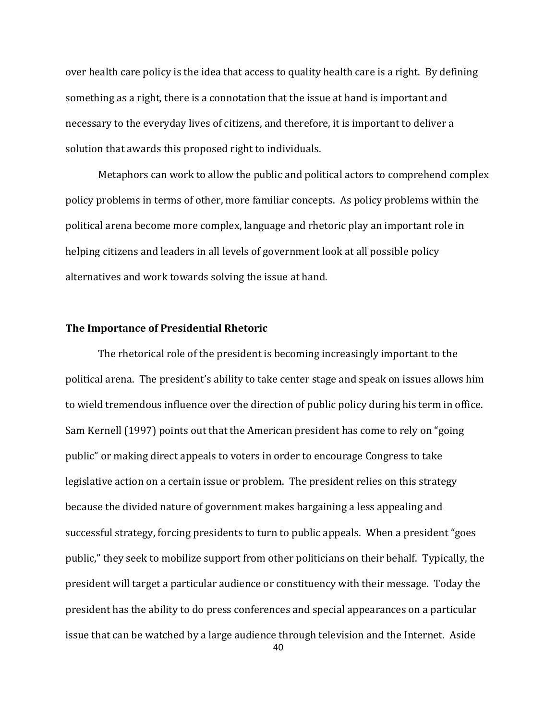over health care policy is the idea that access to quality health care is a right. By defining something as a right, there is a connotation that the issue at hand is important and necessary to the everyday lives of citizens, and therefore, it is important to deliver a solution that awards this proposed right to individuals.

Metaphors can work to allow the public and political actors to comprehend complex policy problems in terms of other, more familiar concepts. As policy problems within the political arena become more complex, language and rhetoric play an important role in helping citizens and leaders in all levels of government look at all possible policy alternatives and work towards solving the issue at hand.

### **The Importance of Presidential Rhetoric**

The rhetorical role of the president is becoming increasingly important to the political arena. The president's ability to take center stage and speak on issues allows him to wield tremendous influence over the direction of public policy during his term in office. Sam Kernell (1997) points out that the American president has come to rely on "going public" or making direct appeals to voters in order to encourage Congress to take legislative action on a certain issue or problem. The president relies on this strategy because the divided nature of government makes bargaining a less appealing and successful strategy, forcing presidents to turn to public appeals. When a president "goes public," they seek to mobilize support from other politicians on their behalf. Typically, the president will target a particular audience or constituency with their message. Today the president has the ability to do press conferences and special appearances on a particular issue that can be watched by a large audience through television and the Internet. Aside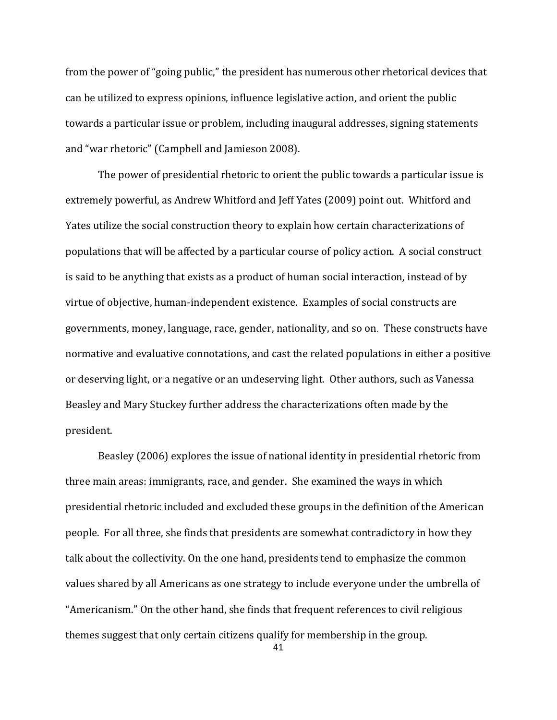from the power of "going public," the president has numerous other rhetorical devices that can be utilized to express opinions, influence legislative action, and orient the public towards a particular issue or problem, including inaugural addresses, signing statements and "war rhetoric" (Campbell and Jamieson 2008).

The power of presidential rhetoric to orient the public towards a particular issue is extremely powerful, as Andrew Whitford and Jeff Yates (2009) point out. Whitford and Yates utilize the social construction theory to explain how certain characterizations of populations that will be affected by a particular course of policy action. A social construct is said to be anything that exists as a product of human social interaction, instead of by virtue of objective, human-independent existence. Examples of social constructs are governments, money, language, race, gender, nationality, and so on. These constructs have normative and evaluative connotations, and cast the related populations in either a positive or deserving light, or a negative or an undeserving light. Other authors, such as Vanessa Beasley and Mary Stuckey further address the characterizations often made by the president.

Beasley (2006) explores the issue of national identity in presidential rhetoric from three main areas: immigrants, race, and gender. She examined the ways in which presidential rhetoric included and excluded these groups in the definition of the American people. For all three, she finds that presidents are somewhat contradictory in how they talk about the collectivity. On the one hand, presidents tend to emphasize the common values shared by all Americans as one strategy to include everyone under the umbrella of "Americanism." On the other hand, she finds that frequent references to civil religious themes suggest that only certain citizens qualify for membership in the group.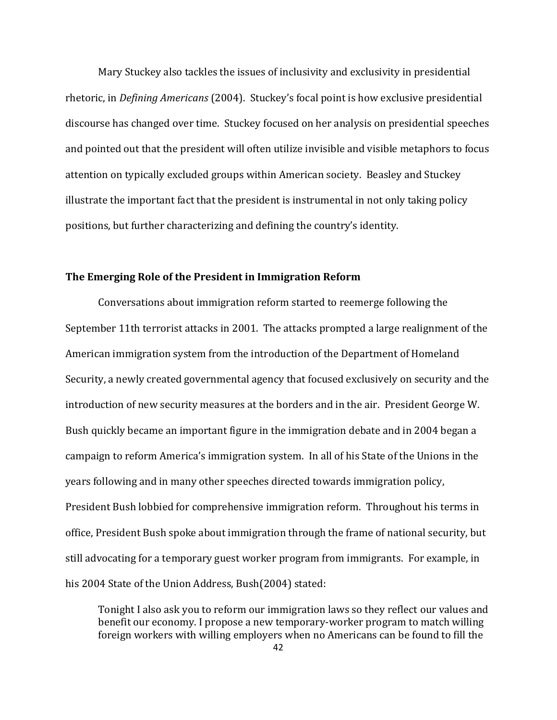Mary Stuckey also tackles the issues of inclusivity and exclusivity in presidential rhetoric, in *Defining Americans* (2004). Stuckey's focal point is how exclusive presidential discourse has changed over time. Stuckey focused on her analysis on presidential speeches and pointed out that the president will often utilize invisible and visible metaphors to focus attention on typically excluded groups within American society. Beasley and Stuckey illustrate the important fact that the president is instrumental in not only taking policy positions, but further characterizing and defining the country's identity.

### **The Emerging Role of the President in Immigration Reform**

Conversations about immigration reform started to reemerge following the September 11th terrorist attacks in 2001. The attacks prompted a large realignment of the American immigration system from the introduction of the Department of Homeland Security, a newly created governmental agency that focused exclusively on security and the introduction of new security measures at the borders and in the air. President George W. Bush quickly became an important figure in the immigration debate and in 2004 began a campaign to reform America's immigration system. In all of his State of the Unions in the years following and in many other speeches directed towards immigration policy, President Bush lobbied for comprehensive immigration reform. Throughout his terms in office, President Bush spoke about immigration through the frame of national security, but still advocating for a temporary guest worker program from immigrants. For example, in his 2004 State of the Union Address, Bush(2004) stated:

Tonight I also ask you to reform our immigration laws so they reflect our values and benefit our economy. I propose a new temporary-worker program to match willing foreign workers with willing employers when no Americans can be found to fill the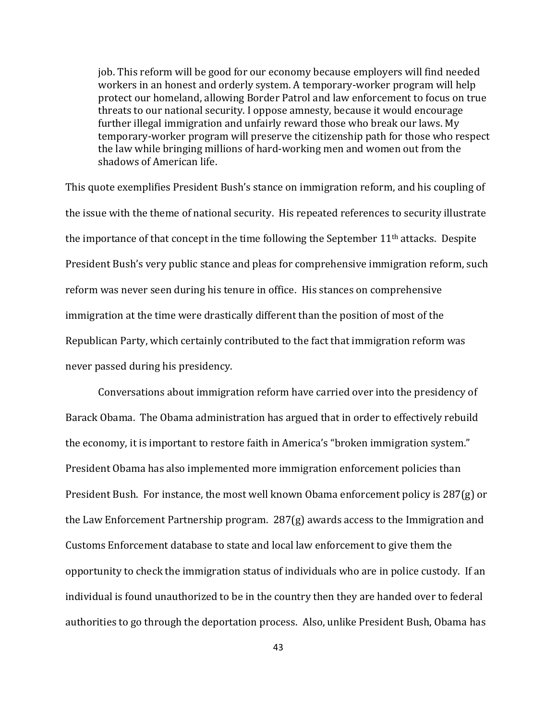job. This reform will be good for our economy because employers will find needed workers in an honest and orderly system. A temporary-worker program will help protect our homeland, allowing Border Patrol and law enforcement to focus on true threats to our national security. I oppose amnesty, because it would encourage further illegal immigration and unfairly reward those who break our laws. My temporary-worker program will preserve the citizenship path for those who respect the law while bringing millions of hard-working men and women out from the shadows of American life.

This quote exemplifies President Bush's stance on immigration reform, and his coupling of the issue with the theme of national security. His repeated references to security illustrate the importance of that concept in the time following the September  $11<sup>th</sup>$  attacks. Despite President Bush's very public stance and pleas for comprehensive immigration reform, such reform was never seen during his tenure in office. His stances on comprehensive immigration at the time were drastically different than the position of most of the Republican Party, which certainly contributed to the fact that immigration reform was never passed during his presidency.

Conversations about immigration reform have carried over into the presidency of Barack Obama. The Obama administration has argued that in order to effectively rebuild the economy, it is important to restore faith in America's "broken immigration system." President Obama has also implemented more immigration enforcement policies than President Bush. For instance, the most well known Obama enforcement policy is 287(g) or the Law Enforcement Partnership program. 287(g) awards access to the Immigration and Customs Enforcement database to state and local law enforcement to give them the opportunity to check the immigration status of individuals who are in police custody. If an individual is found unauthorized to be in the country then they are handed over to federal authorities to go through the deportation process. Also, unlike President Bush, Obama has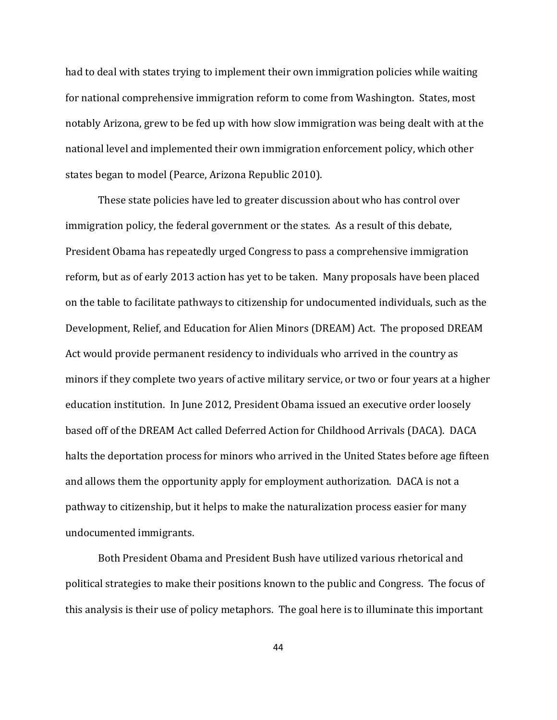had to deal with states trying to implement their own immigration policies while waiting for national comprehensive immigration reform to come from Washington. States, most notably Arizona, grew to be fed up with how slow immigration was being dealt with at the national level and implemented their own immigration enforcement policy, which other states began to model (Pearce, Arizona Republic 2010).

These state policies have led to greater discussion about who has control over immigration policy, the federal government or the states. As a result of this debate, President Obama has repeatedly urged Congress to pass a comprehensive immigration reform, but as of early 2013 action has yet to be taken. Many proposals have been placed on the table to facilitate pathways to citizenship for undocumented individuals, such as the Development, Relief, and Education for Alien Minors (DREAM) Act. The proposed DREAM Act would provide permanent residency to individuals who arrived in the country as minors if they complete two years of active military service, or two or four years at a higher education institution. In June 2012, President Obama issued an executive order loosely based off of the DREAM Act called Deferred Action for Childhood Arrivals (DACA). DACA halts the deportation process for minors who arrived in the United States before age fifteen and allows them the opportunity apply for employment authorization. DACA is not a pathway to citizenship, but it helps to make the naturalization process easier for many undocumented immigrants.

Both President Obama and President Bush have utilized various rhetorical and political strategies to make their positions known to the public and Congress. The focus of this analysis is their use of policy metaphors. The goal here is to illuminate this important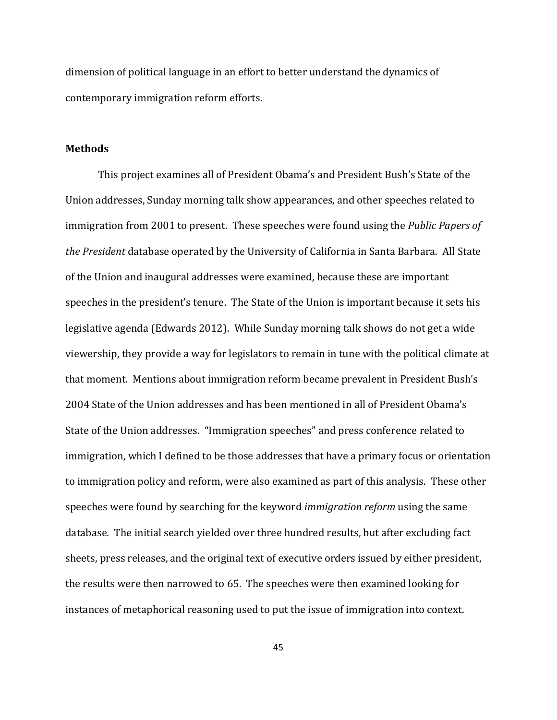dimension of political language in an effort to better understand the dynamics of contemporary immigration reform efforts.

### **Methods**

This project examines all of President Obama's and President Bush's State of the Union addresses, Sunday morning talk show appearances, and other speeches related to immigration from 2001 to present. These speeches were found using the *Public Papers of the President* database operated by the University of California in Santa Barbara. All State of the Union and inaugural addresses were examined, because these are important speeches in the president's tenure. The State of the Union is important because it sets his legislative agenda (Edwards 2012). While Sunday morning talk shows do not get a wide viewership, they provide a way for legislators to remain in tune with the political climate at that moment. Mentions about immigration reform became prevalent in President Bush's 2004 State of the Union addresses and has been mentioned in all of President Obama's State of the Union addresses. "Immigration speeches" and press conference related to immigration, which I defined to be those addresses that have a primary focus or orientation to immigration policy and reform, were also examined as part of this analysis. These other speeches were found by searching for the keyword *immigration reform* using the same database*.* The initial search yielded over three hundred results, but after excluding fact sheets, press releases, and the original text of executive orders issued by either president, the results were then narrowed to 65. The speeches were then examined looking for instances of metaphorical reasoning used to put the issue of immigration into context.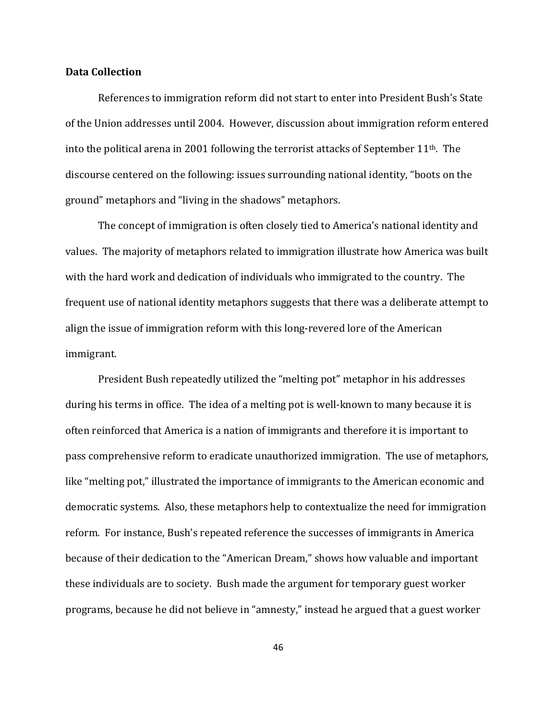### **Data Collection**

References to immigration reform did not start to enter into President Bush's State of the Union addresses until 2004. However, discussion about immigration reform entered into the political arena in 2001 following the terrorist attacks of September  $11<sup>th</sup>$ . The discourse centered on the following: issues surrounding national identity, "boots on the ground" metaphors and "living in the shadows" metaphors.

The concept of immigration is often closely tied to America's national identity and values. The majority of metaphors related to immigration illustrate how America was built with the hard work and dedication of individuals who immigrated to the country. The frequent use of national identity metaphors suggests that there was a deliberate attempt to align the issue of immigration reform with this long-revered lore of the American immigrant.

President Bush repeatedly utilized the "melting pot" metaphor in his addresses during his terms in office. The idea of a melting pot is well-known to many because it is often reinforced that America is a nation of immigrants and therefore it is important to pass comprehensive reform to eradicate unauthorized immigration. The use of metaphors, like "melting pot," illustrated the importance of immigrants to the American economic and democratic systems. Also, these metaphors help to contextualize the need for immigration reform. For instance, Bush's repeated reference the successes of immigrants in America because of their dedication to the "American Dream," shows how valuable and important these individuals are to society. Bush made the argument for temporary guest worker programs, because he did not believe in "amnesty," instead he argued that a guest worker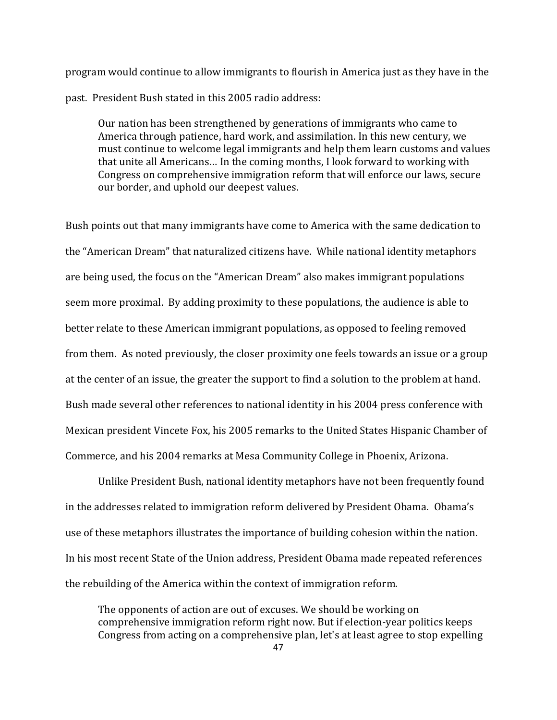program would continue to allow immigrants to flourish in America just as they have in the past. President Bush stated in this 2005 radio address:

Our nation has been strengthened by generations of immigrants who came to America through patience, hard work, and assimilation. In this new century, we must continue to welcome legal immigrants and help them learn customs and values that unite all Americans… In the coming months, I look forward to working with Congress on comprehensive immigration reform that will enforce our laws, secure our border, and uphold our deepest values.

Bush points out that many immigrants have come to America with the same dedication to the "American Dream" that naturalized citizens have. While national identity metaphors are being used, the focus on the "American Dream" also makes immigrant populations seem more proximal. By adding proximity to these populations, the audience is able to better relate to these American immigrant populations, as opposed to feeling removed from them. As noted previously, the closer proximity one feels towards an issue or a group at the center of an issue, the greater the support to find a solution to the problem at hand. Bush made several other references to national identity in his 2004 press conference with Mexican president Vincete Fox, his 2005 remarks to the United States Hispanic Chamber of Commerce, and his 2004 remarks at Mesa Community College in Phoenix, Arizona.

Unlike President Bush, national identity metaphors have not been frequently found in the addresses related to immigration reform delivered by President Obama. Obama's use of these metaphors illustrates the importance of building cohesion within the nation. In his most recent State of the Union address, President Obama made repeated references the rebuilding of the America within the context of immigration reform.

The opponents of action are out of excuses. We should be working on comprehensive immigration reform right now. But if election-year politics keeps Congress from acting on a comprehensive plan, let's at least agree to stop expelling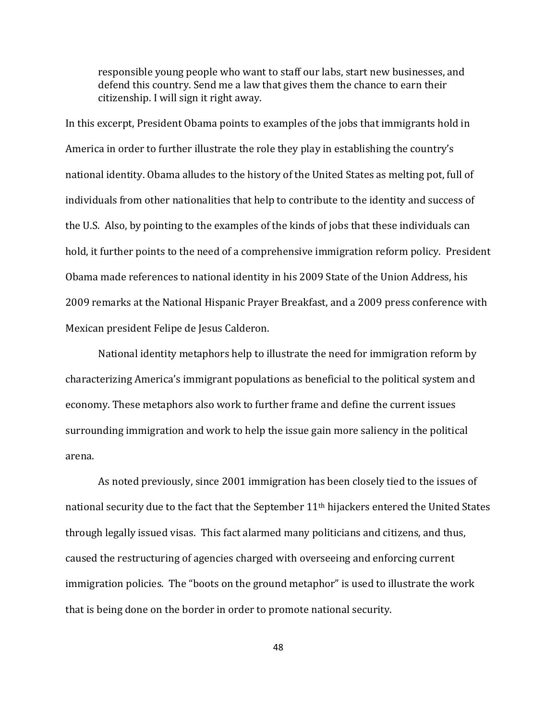responsible young people who want to staff our labs, start new businesses, and defend this country. Send me a law that gives them the chance to earn their citizenship. I will sign it right away.

In this excerpt, President Obama points to examples of the jobs that immigrants hold in America in order to further illustrate the role they play in establishing the country's national identity. Obama alludes to the history of the United States as melting pot, full of individuals from other nationalities that help to contribute to the identity and success of the U.S. Also, by pointing to the examples of the kinds of jobs that these individuals can hold, it further points to the need of a comprehensive immigration reform policy. President Obama made references to national identity in his 2009 State of the Union Address, his 2009 remarks at the National Hispanic Prayer Breakfast, and a 2009 press conference with Mexican president Felipe de Jesus Calderon.

National identity metaphors help to illustrate the need for immigration reform by characterizing America's immigrant populations as beneficial to the political system and economy. These metaphors also work to further frame and define the current issues surrounding immigration and work to help the issue gain more saliency in the political arena.

As noted previously, since 2001 immigration has been closely tied to the issues of national security due to the fact that the September 11<sup>th</sup> hijackers entered the United States through legally issued visas. This fact alarmed many politicians and citizens, and thus, caused the restructuring of agencies charged with overseeing and enforcing current immigration policies. The "boots on the ground metaphor" is used to illustrate the work that is being done on the border in order to promote national security.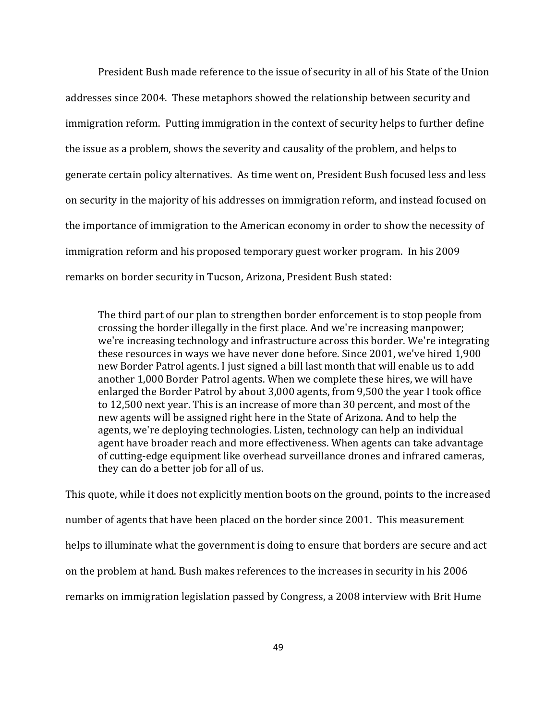President Bush made reference to the issue of security in all of his State of the Union addresses since 2004. These metaphors showed the relationship between security and immigration reform. Putting immigration in the context of security helps to further define the issue as a problem, shows the severity and causality of the problem, and helps to generate certain policy alternatives. As time went on, President Bush focused less and less on security in the majority of his addresses on immigration reform, and instead focused on the importance of immigration to the American economy in order to show the necessity of immigration reform and his proposed temporary guest worker program. In his 2009 remarks on border security in Tucson, Arizona, President Bush stated:

The third part of our plan to strengthen border enforcement is to stop people from crossing the border illegally in the first place. And we're increasing manpower; we're increasing technology and infrastructure across this border. We're integrating these resources in ways we have never done before. Since 2001, we've hired 1,900 new Border Patrol agents. I just signed a bill last month that will enable us to add another 1,000 Border Patrol agents. When we complete these hires, we will have enlarged the Border Patrol by about 3,000 agents, from 9,500 the year I took office to 12,500 next year. This is an increase of more than 30 percent, and most of the new agents will be assigned right here in the State of Arizona. And to help the agents, we're deploying technologies. Listen, technology can help an individual agent have broader reach and more effectiveness. When agents can take advantage of cutting-edge equipment like overhead surveillance drones and infrared cameras, they can do a better job for all of us.

This quote, while it does not explicitly mention boots on the ground, points to the increased number of agents that have been placed on the border since 2001. This measurement helps to illuminate what the government is doing to ensure that borders are secure and act on the problem at hand. Bush makes references to the increases in security in his 2006 remarks on immigration legislation passed by Congress, a 2008 interview with Brit Hume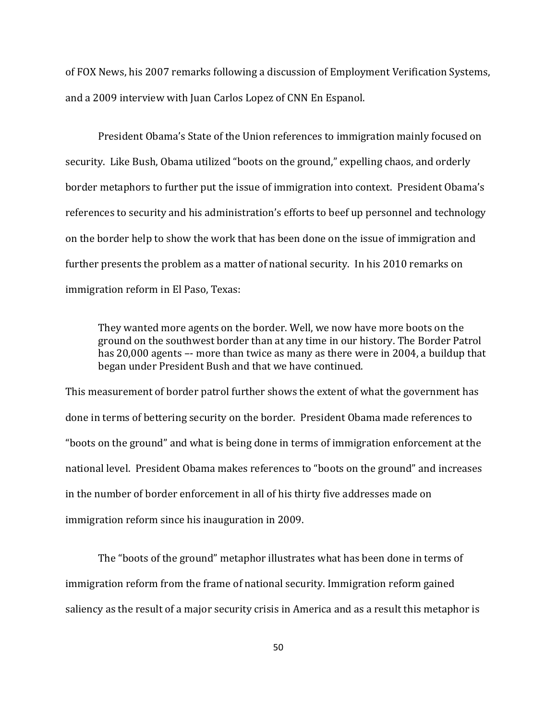of FOX News, his 2007 remarks following a discussion of Employment Verification Systems, and a 2009 interview with Juan Carlos Lopez of CNN En Espanol.

President Obama's State of the Union references to immigration mainly focused on security. Like Bush, Obama utilized "boots on the ground," expelling chaos, and orderly border metaphors to further put the issue of immigration into context. President Obama's references to security and his administration's efforts to beef up personnel and technology on the border help to show the work that has been done on the issue of immigration and further presents the problem as a matter of national security. In his 2010 remarks on immigration reform in El Paso, Texas:

They wanted more agents on the border. Well, we now have more boots on the ground on the southwest border than at any time in our history. The Border Patrol has 20,000 agents –- more than twice as many as there were in 2004, a buildup that began under President Bush and that we have continued.

This measurement of border patrol further shows the extent of what the government has done in terms of bettering security on the border. President Obama made references to "boots on the ground" and what is being done in terms of immigration enforcement at the national level. President Obama makes references to "boots on the ground" and increases in the number of border enforcement in all of his thirty five addresses made on immigration reform since his inauguration in 2009.

The "boots of the ground" metaphor illustrates what has been done in terms of immigration reform from the frame of national security. Immigration reform gained saliency as the result of a major security crisis in America and as a result this metaphor is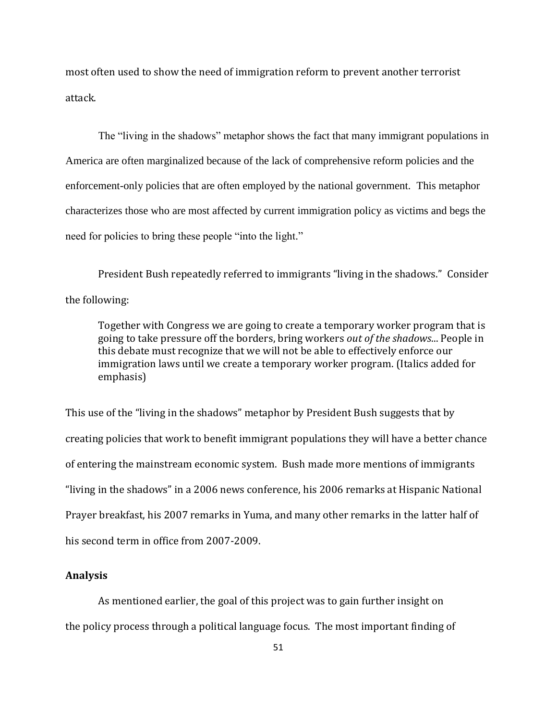most often used to show the need of immigration reform to prevent another terrorist attack.

The "living in the shadows" metaphor shows the fact that many immigrant populations in America are often marginalized because of the lack of comprehensive reform policies and the enforcement-only policies that are often employed by the national government. This metaphor characterizes those who are most affected by current immigration policy as victims and begs the need for policies to bring these people "into the light."

President Bush repeatedly referred to immigrants "living in the shadows." Consider the following:

Together with Congress we are going to create a temporary worker program that is going to take pressure off the borders, bring workers *out of the shadows*... People in this debate must recognize that we will not be able to effectively enforce our immigration laws until we create a temporary worker program. (Italics added for emphasis)

This use of the "living in the shadows" metaphor by President Bush suggests that by creating policies that work to benefit immigrant populations they will have a better chance of entering the mainstream economic system. Bush made more mentions of immigrants "living in the shadows" in a 2006 news conference, his 2006 remarks at Hispanic National Prayer breakfast, his 2007 remarks in Yuma, and many other remarks in the latter half of his second term in office from 2007-2009.

### **Analysis**

As mentioned earlier, the goal of this project was to gain further insight on the policy process through a political language focus. The most important finding of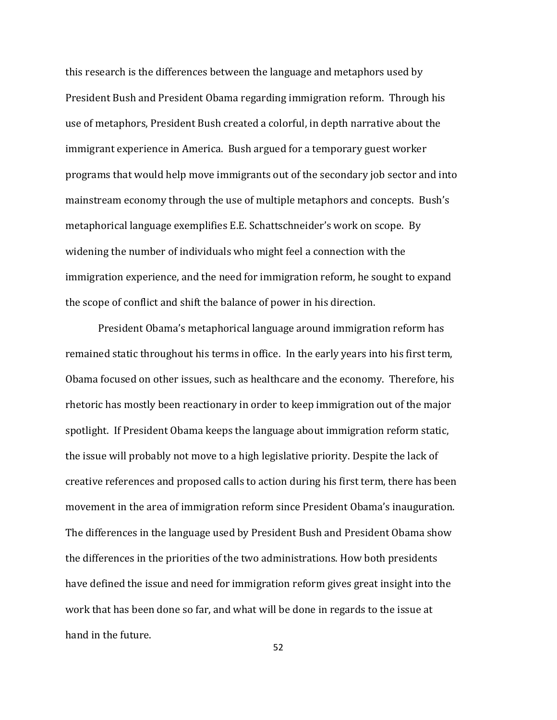this research is the differences between the language and metaphors used by President Bush and President Obama regarding immigration reform. Through his use of metaphors, President Bush created a colorful, in depth narrative about the immigrant experience in America. Bush argued for a temporary guest worker programs that would help move immigrants out of the secondary job sector and into mainstream economy through the use of multiple metaphors and concepts. Bush's metaphorical language exemplifies E.E. Schattschneider's work on scope. By widening the number of individuals who might feel a connection with the immigration experience, and the need for immigration reform, he sought to expand the scope of conflict and shift the balance of power in his direction.

President Obama's metaphorical language around immigration reform has remained static throughout his terms in office. In the early years into his first term, Obama focused on other issues, such as healthcare and the economy. Therefore, his rhetoric has mostly been reactionary in order to keep immigration out of the major spotlight. If President Obama keeps the language about immigration reform static, the issue will probably not move to a high legislative priority. Despite the lack of creative references and proposed calls to action during his first term, there has been movement in the area of immigration reform since President Obama's inauguration. The differences in the language used by President Bush and President Obama show the differences in the priorities of the two administrations. How both presidents have defined the issue and need for immigration reform gives great insight into the work that has been done so far, and what will be done in regards to the issue at hand in the future.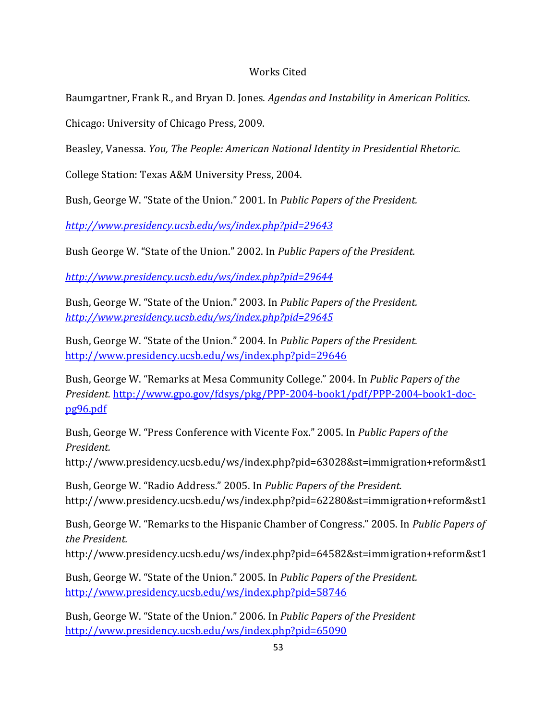# Works Cited

Baumgartner, Frank R., and Bryan D. Jones. *Agendas and Instability in American Politics*.

Chicago: University of Chicago Press, 2009.

Beasley, Vanessa. *You, The People: American National Identity in Presidential Rhetoric.* 

College Station: Texas A&M University Press, 2004.

Bush, George W. "State of the Union." 2001. In *Public Papers of the President.* 

*<http://www.presidency.ucsb.edu/ws/index.php?pid=29643>*

Bush George W. "State of the Union." 2002. In *Public Papers of the President.* 

*<http://www.presidency.ucsb.edu/ws/index.php?pid=29644>*

Bush, George W. "State of the Union." 2003. In *Public Papers of the President. <http://www.presidency.ucsb.edu/ws/index.php?pid=29645>*

Bush, George W. "State of the Union." 2004. In *Public Papers of the President.*  <http://www.presidency.ucsb.edu/ws/index.php?pid=29646>

Bush, George W. "Remarks at Mesa Community College." 2004. In *Public Papers of the President.* [http://www.gpo.gov/fdsys/pkg/PPP-2004-book1/pdf/PPP-2004-book1-doc](http://www.gpo.gov/fdsys/pkg/PPP-2004-book1/pdf/PPP-2004-book1-doc-pg96.pdf)[pg96.pdf](http://www.gpo.gov/fdsys/pkg/PPP-2004-book1/pdf/PPP-2004-book1-doc-pg96.pdf)

Bush, George W. "Press Conference with Vicente Fox." 2005. In *Public Papers of the President.*

http://www.presidency.ucsb.edu/ws/index.php?pid=63028&st=immigration+reform&st1

Bush, George W. "Radio Address." 2005. In *Public Papers of the President.* http://www.presidency.ucsb.edu/ws/index.php?pid=62280&st=immigration+reform&st1

Bush, George W. "Remarks to the Hispanic Chamber of Congress." 2005. In *Public Papers of the President.*

http://www.presidency.ucsb.edu/ws/index.php?pid=64582&st=immigration+reform&st1

Bush, George W. "State of the Union." 2005. In *Public Papers of the President.*  <http://www.presidency.ucsb.edu/ws/index.php?pid=58746>

Bush, George W. "State of the Union." 2006. In *Public Papers of the President* <http://www.presidency.ucsb.edu/ws/index.php?pid=65090>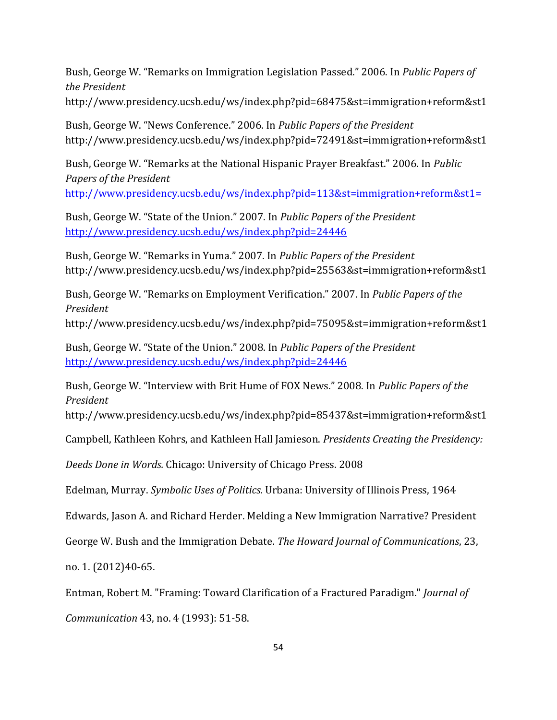Bush, George W. "Remarks on Immigration Legislation Passed." 2006. In *Public Papers of the President* http://www.presidency.ucsb.edu/ws/index.php?pid=68475&st=immigration+reform&st1

Bush, George W. "News Conference." 2006. In *Public Papers of the President* http://www.presidency.ucsb.edu/ws/index.php?pid=72491&st=immigration+reform&st1

Bush, George W. "Remarks at the National Hispanic Prayer Breakfast." 2006. In *Public Papers of the President*

<http://www.presidency.ucsb.edu/ws/index.php?pid=113&st=immigration+reform&st1=>

Bush, George W. "State of the Union." 2007. In *Public Papers of the President* <http://www.presidency.ucsb.edu/ws/index.php?pid=24446>

Bush, George W. "Remarks in Yuma." 2007. In *Public Papers of the President* http://www.presidency.ucsb.edu/ws/index.php?pid=25563&st=immigration+reform&st1

Bush, George W. "Remarks on Employment Verification." 2007. In *Public Papers of the President*

http://www.presidency.ucsb.edu/ws/index.php?pid=75095&st=immigration+reform&st1

Bush, George W. "State of the Union." 2008. In *Public Papers of the President* <http://www.presidency.ucsb.edu/ws/index.php?pid=24446>

Bush, George W. "Interview with Brit Hume of FOX News." 2008. In *Public Papers of the President*

http://www.presidency.ucsb.edu/ws/index.php?pid=85437&st=immigration+reform&st1

Campbell, Kathleen Kohrs, and Kathleen Hall Jamieson. *Presidents Creating the Presidency:* 

*Deeds Done in Words.* Chicago: University of Chicago Press. 2008

Edelman, Murray. *Symbolic Uses of Politics.* Urbana: University of Illinois Press, 1964

Edwards, Jason A. and Richard Herder. Melding a New Immigration Narrative? President

George W. Bush and the Immigration Debate. *The Howard Journal of Communications*, 23,

no. 1. (2012)40-65.

Entman, Robert M. "Framing: Toward Clarification of a Fractured Paradigm." *Journal of* 

*Communication* 43, no. 4 (1993): 51-58.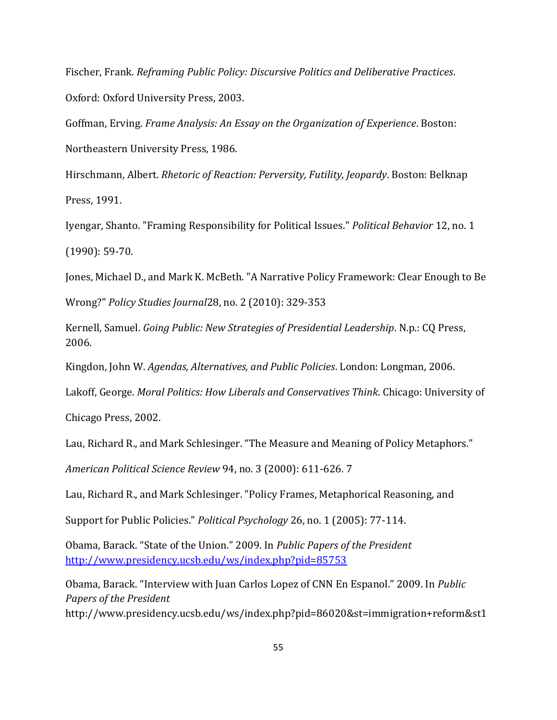Fischer, Frank. *Reframing Public Policy: Discursive Politics and Deliberative Practices*. Oxford: Oxford University Press, 2003.

Goffman, Erving. *Frame Analysis: An Essay on the Organization of Experience*. Boston: Northeastern University Press, 1986.

Hirschmann, Albert. *Rhetoric of Reaction: Perversity, Futility, Jeopardy*. Boston: Belknap Press, 1991.

Iyengar, Shanto. "Framing Responsibility for Political Issues." *Political Behavior* 12, no. 1 (1990): 59-70.

Jones, Michael D., and Mark K. McBeth. "A Narrative Policy Framework: Clear Enough to Be

Wrong?" *Policy Studies Journal*28, no. 2 (2010): 329-353

Kernell, Samuel. *Going Public: New Strategies of Presidential Leadership*. N.p.: CQ Press, 2006.

Kingdon, John W. *Agendas, Alternatives, and Public Policies*. London: Longman, 2006.

Lakoff, George. *Moral Politics: How Liberals and Conservatives Think*. Chicago: University of

Chicago Press, 2002.

Lau, Richard R., and Mark Schlesinger. "The Measure and Meaning of Policy Metaphors."

*American Political Science Review* 94, no. 3 (2000): 611-626. 7

Lau, Richard R., and Mark Schlesinger. "Policy Frames, Metaphorical Reasoning, and

Support for Public Policies." *Political Psychology* 26, no. 1 (2005): 77-114.

Obama, Barack. "State of the Union." 2009. In *Public Papers of the President* <http://www.presidency.ucsb.edu/ws/index.php?pid=85753>

Obama, Barack. "Interview with Juan Carlos Lopez of CNN En Espanol." 2009. In *Public Papers of the President* http://www.presidency.ucsb.edu/ws/index.php?pid=86020&st=immigration+reform&st1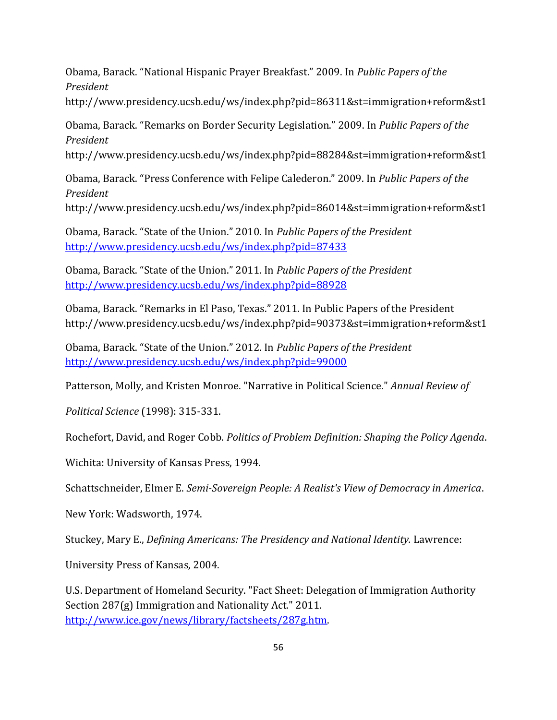Obama, Barack. "National Hispanic Prayer Breakfast." 2009. In *Public Papers of the President* http://www.presidency.ucsb.edu/ws/index.php?pid=86311&st=immigration+reform&st1

Obama, Barack. "Remarks on Border Security Legislation." 2009. In *Public Papers of the President*

http://www.presidency.ucsb.edu/ws/index.php?pid=88284&st=immigration+reform&st1

Obama, Barack. "Press Conference with Felipe Calederon." 2009. In *Public Papers of the President*

http://www.presidency.ucsb.edu/ws/index.php?pid=86014&st=immigration+reform&st1

Obama, Barack. "State of the Union." 2010. In *Public Papers of the President* <http://www.presidency.ucsb.edu/ws/index.php?pid=87433>

Obama, Barack. "State of the Union." 2011. In *Public Papers of the President* <http://www.presidency.ucsb.edu/ws/index.php?pid=88928>

Obama, Barack. "Remarks in El Paso, Texas." 2011. In Public Papers of the President http://www.presidency.ucsb.edu/ws/index.php?pid=90373&st=immigration+reform&st1

Obama, Barack. "State of the Union." 2012. In *Public Papers of the President* <http://www.presidency.ucsb.edu/ws/index.php?pid=99000>

Patterson, Molly, and Kristen Monroe. "Narrative in Political Science." *Annual Review of* 

*Political Science* (1998): 315-331.

Rochefort, David, and Roger Cobb. *Politics of Problem Definition: Shaping the Policy Agenda*.

Wichita: University of Kansas Press, 1994.

Schattschneider, Elmer E. *Semi-Sovereign People: A Realist's View of Democracy in America*.

New York: Wadsworth, 1974.

Stuckey, Mary E., *Defining Americans: The Presidency and National Identity.* Lawrence:

University Press of Kansas, 2004.

U.S. Department of Homeland Security. "Fact Sheet: Delegation of Immigration Authority Section 287(g) Immigration and Nationality Act." 2011. [http://www.ice.gov/news/library/factsheets/287g.htm.](http://www.ice.gov/news/library/factsheets/287g.htm)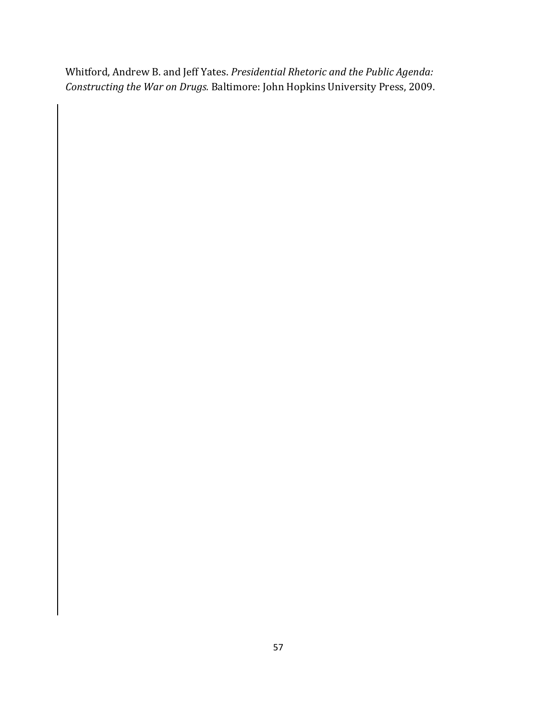Whitford, Andrew B. and Jeff Yates. *Presidential Rhetoric and the Public Agenda: Constructing the War on Drugs.* Baltimore: John Hopkins University Press, 2009.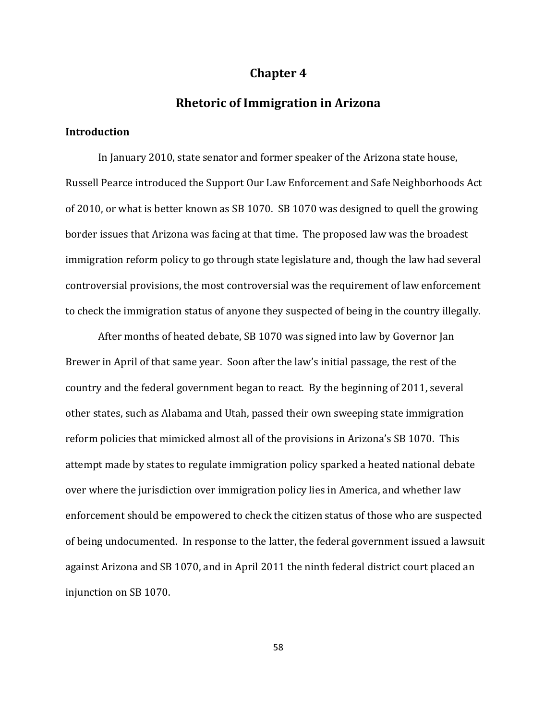# **Chapter 4**

## **Rhetoric of Immigration in Arizona**

### **Introduction**

In January 2010, state senator and former speaker of the Arizona state house, Russell Pearce introduced the Support Our Law Enforcement and Safe Neighborhoods Act of 2010, or what is better known as SB 1070. SB 1070 was designed to quell the growing border issues that Arizona was facing at that time. The proposed law was the broadest immigration reform policy to go through state legislature and, though the law had several controversial provisions, the most controversial was the requirement of law enforcement to check the immigration status of anyone they suspected of being in the country illegally.

After months of heated debate, SB 1070 was signed into law by Governor Jan Brewer in April of that same year. Soon after the law's initial passage, the rest of the country and the federal government began to react. By the beginning of 2011, several other states, such as Alabama and Utah, passed their own sweeping state immigration reform policies that mimicked almost all of the provisions in Arizona's SB 1070. This attempt made by states to regulate immigration policy sparked a heated national debate over where the jurisdiction over immigration policy lies in America, and whether law enforcement should be empowered to check the citizen status of those who are suspected of being undocumented. In response to the latter, the federal government issued a lawsuit against Arizona and SB 1070, and in April 2011 the ninth federal district court placed an injunction on SB 1070.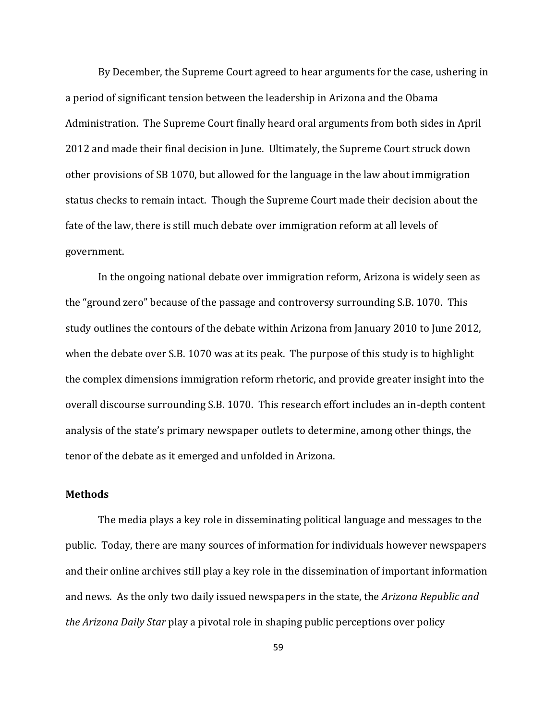By December, the Supreme Court agreed to hear arguments for the case, ushering in a period of significant tension between the leadership in Arizona and the Obama Administration. The Supreme Court finally heard oral arguments from both sides in April 2012 and made their final decision in June. Ultimately, the Supreme Court struck down other provisions of SB 1070, but allowed for the language in the law about immigration status checks to remain intact. Though the Supreme Court made their decision about the fate of the law, there is still much debate over immigration reform at all levels of government.

In the ongoing national debate over immigration reform, Arizona is widely seen as the "ground zero" because of the passage and controversy surrounding S.B. 1070. This study outlines the contours of the debate within Arizona from January 2010 to June 2012, when the debate over S.B. 1070 was at its peak. The purpose of this study is to highlight the complex dimensions immigration reform rhetoric, and provide greater insight into the overall discourse surrounding S.B. 1070. This research effort includes an in-depth content analysis of the state's primary newspaper outlets to determine, among other things, the tenor of the debate as it emerged and unfolded in Arizona.

### **Methods**

The media plays a key role in disseminating political language and messages to the public. Today, there are many sources of information for individuals however newspapers and their online archives still play a key role in the dissemination of important information and news. As the only two daily issued newspapers in the state, the *Arizona Republic and the Arizona Daily Star* play a pivotal role in shaping public perceptions over policy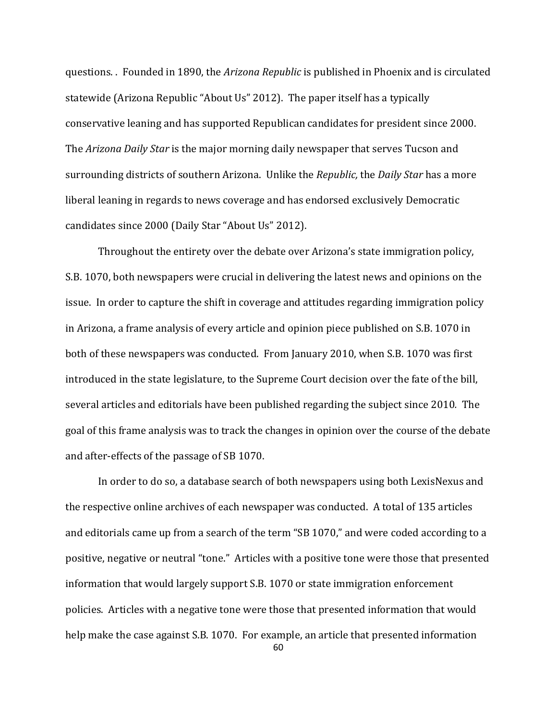questions. . Founded in 1890, the *Arizona Republic* is published in Phoenix and is circulated statewide (Arizona Republic "About Us" 2012). The paper itself has a typically conservative leaning and has supported Republican candidates for president since 2000. The *Arizona Daily Star* is the major morning daily newspaper that serves Tucson and surrounding districts of southern Arizona. Unlike the *Republic,* the *Daily Star* has a more liberal leaning in regards to news coverage and has endorsed exclusively Democratic candidates since 2000 (Daily Star "About Us" 2012).

Throughout the entirety over the debate over Arizona's state immigration policy, S.B. 1070, both newspapers were crucial in delivering the latest news and opinions on the issue. In order to capture the shift in coverage and attitudes regarding immigration policy in Arizona, a frame analysis of every article and opinion piece published on S.B. 1070 in both of these newspapers was conducted. From January 2010, when S.B. 1070 was first introduced in the state legislature, to the Supreme Court decision over the fate of the bill, several articles and editorials have been published regarding the subject since 2010*.* The goal of this frame analysis was to track the changes in opinion over the course of the debate and after-effects of the passage of SB 1070.

60 In order to do so, a database search of both newspapers using both LexisNexus and the respective online archives of each newspaper was conducted. A total of 135 articles and editorials came up from a search of the term "SB 1070," and were coded according to a positive, negative or neutral "tone." Articles with a positive tone were those that presented information that would largely support S.B. 1070 or state immigration enforcement policies. Articles with a negative tone were those that presented information that would help make the case against S.B. 1070. For example, an article that presented information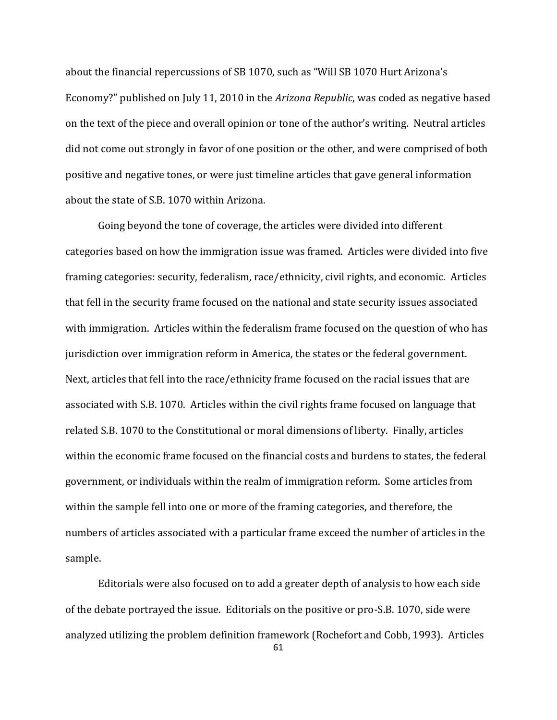about the financial repercussions of SB 1070, such as "Will SB 1070 Hurt Arizona's Economy?" published on July 11, 2010 in the *Arizona Republic*, was coded as negative based on the text of the piece and overall opinion or tone of the author's writing. Neutral articles did not come out strongly in favor of one position or the other, and were comprised of both positive and negative tones, or were just timeline articles that gave general information about the state of S.B. 1070 within Arizona.

Going beyond the tone of coverage, the articles were divided into different categories based on how the immigration issue was framed. Articles were divided into five framing categories: security, federalism, race/ethnicity, civil rights, and economic. Articles that fell in the security frame focused on the national and state security issues associated with immigration. Articles within the federalism frame focused on the question of who has jurisdiction over immigration reform in America, the states or the federal government. Next, articles that fell into the race/ethnicity frame focused on the racial issues that are associated with S.B. 1070. Articles within the civil rights frame focused on language that related S.B. 1070 to the Constitutional or moral dimensions of liberty. Finally, articles within the economic frame focused on the financial costs and burdens to states, the federal government, or individuals within the realm of immigration reform. Some articles from within the sample fell into one or more of the framing categories, and therefore, the numbers of articles associated with a particular frame exceed the number of articles in the sample.

Editorials were also focused on to add a greater depth of analysis to how each side of the debate portrayed the issue. Editorials on the positive or pro-S.B. 1070, side were analyzed utilizing the problem definition framework (Rochefort and Cobb, 1993). Articles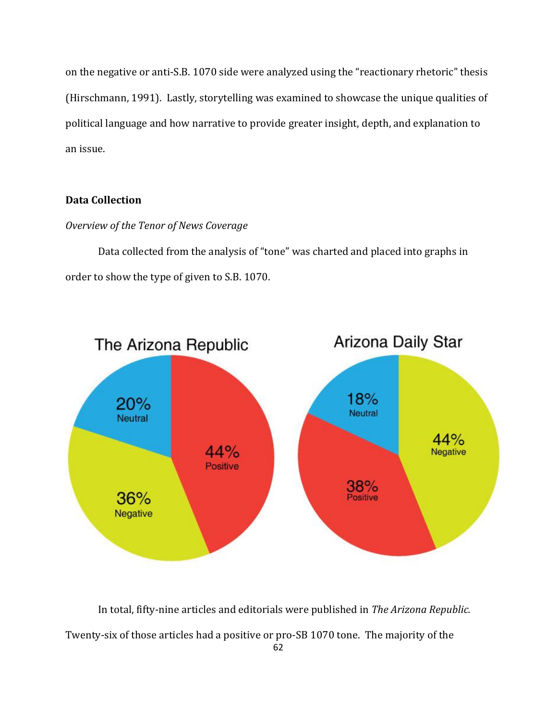on the negative or anti-S.B. 1070 side were analyzed using the "reactionary rhetoric" thesis (Hirschmann, 1991). Lastly, storytelling was examined to showcase the unique qualities of political language and how narrative to provide greater insight, depth, and explanation to an issue.

## **Data Collection**

## *Overview of the Tenor of News Coverage*

Data collected from the analysis of "tone" was charted and placed into graphs in order to show the type of given to S.B. 1070.



In total, fifty-nine articles and editorials were published in *The Arizona Republic.*  Twenty-six of those articles had a positive or pro-SB 1070 tone. The majority of the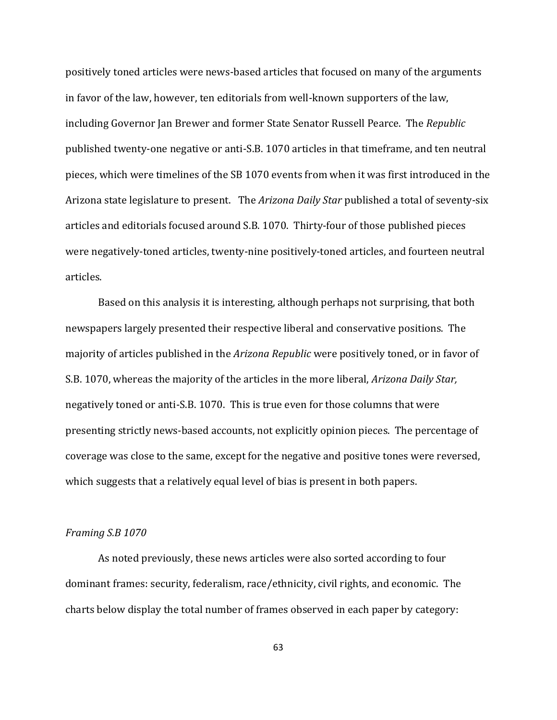positively toned articles were news-based articles that focused on many of the arguments in favor of the law, however, ten editorials from well-known supporters of the law, including Governor Jan Brewer and former State Senator Russell Pearce. The *Republic* published twenty-one negative or anti-S.B. 1070 articles in that timeframe, and ten neutral pieces, which were timelines of the SB 1070 events from when it was first introduced in the Arizona state legislature to present. The *Arizona Daily Star* published a total of seventy-six articles and editorials focused around S.B. 1070. Thirty-four of those published pieces were negatively-toned articles, twenty-nine positively-toned articles, and fourteen neutral articles.

Based on this analysis it is interesting, although perhaps not surprising, that both newspapers largely presented their respective liberal and conservative positions. The majority of articles published in the *Arizona Republic* were positively toned, or in favor of S.B. 1070, whereas the majority of the articles in the more liberal, *Arizona Daily Star,*  negatively toned or anti-S.B. 1070. This is true even for those columns that were presenting strictly news-based accounts, not explicitly opinion pieces. The percentage of coverage was close to the same, except for the negative and positive tones were reversed, which suggests that a relatively equal level of bias is present in both papers.

### *Framing S.B 1070*

As noted previously, these news articles were also sorted according to four dominant frames: security, federalism, race/ethnicity, civil rights, and economic. The charts below display the total number of frames observed in each paper by category: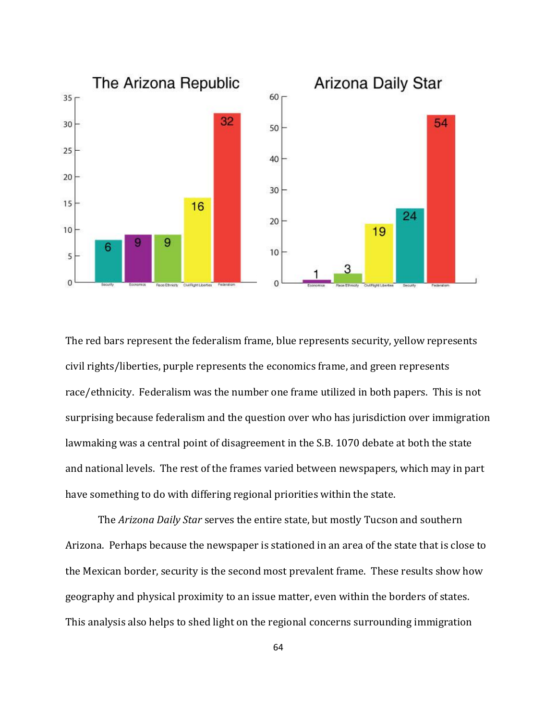

The red bars represent the federalism frame, blue represents security, yellow represents civil rights/liberties, purple represents the economics frame, and green represents race/ethnicity. Federalism was the number one frame utilized in both papers. This is not surprising because federalism and the question over who has jurisdiction over immigration lawmaking was a central point of disagreement in the S.B. 1070 debate at both the state and national levels. The rest of the frames varied between newspapers, which may in part have something to do with differing regional priorities within the state.

The *Arizona Daily Star* serves the entire state, but mostly Tucson and southern Arizona. Perhaps because the newspaper is stationed in an area of the state that is close to the Mexican border, security is the second most prevalent frame. These results show how geography and physical proximity to an issue matter, even within the borders of states. This analysis also helps to shed light on the regional concerns surrounding immigration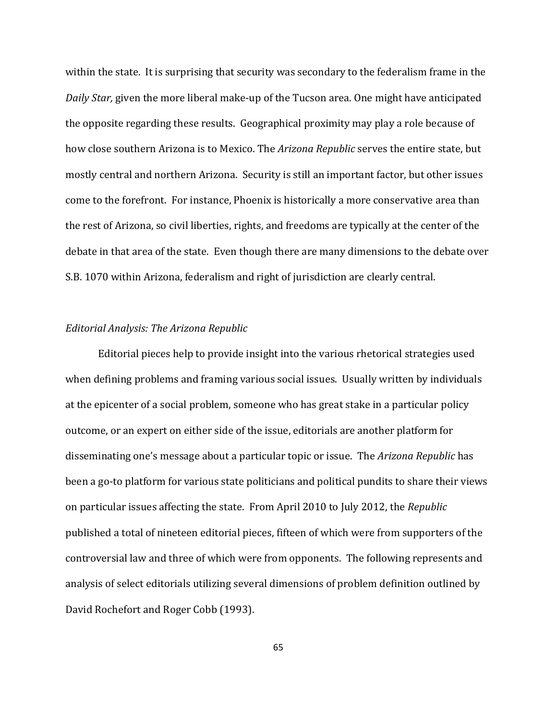within the state. It is surprising that security was secondary to the federalism frame in the *Daily Star,* given the more liberal make-up of the Tucson area. One might have anticipated the opposite regarding these results. Geographical proximity may play a role because of how close southern Arizona is to Mexico. The *Arizona Republic* serves the entire state, but mostly central and northern Arizona. Security is still an important factor, but other issues come to the forefront. For instance, Phoenix is historically a more conservative area than the rest of Arizona, so civil liberties, rights, and freedoms are typically at the center of the debate in that area of the state. Even though there are many dimensions to the debate over S.B. 1070 within Arizona, federalism and right of jurisdiction are clearly central.

### *Editorial Analysis: The Arizona Republic*

Editorial pieces help to provide insight into the various rhetorical strategies used when defining problems and framing various social issues. Usually written by individuals at the epicenter of a social problem, someone who has great stake in a particular policy outcome, or an expert on either side of the issue, editorials are another platform for disseminating one's message about a particular topic or issue. The *Arizona Republic* has been a go-to platform for various state politicians and political pundits to share their views on particular issues affecting the state. From April 2010 to July 2012, the *Republic*  published a total of nineteen editorial pieces, fifteen of which were from supporters of the controversial law and three of which were from opponents. The following represents and analysis of select editorials utilizing several dimensions of problem definition outlined by David Rochefort and Roger Cobb (1993).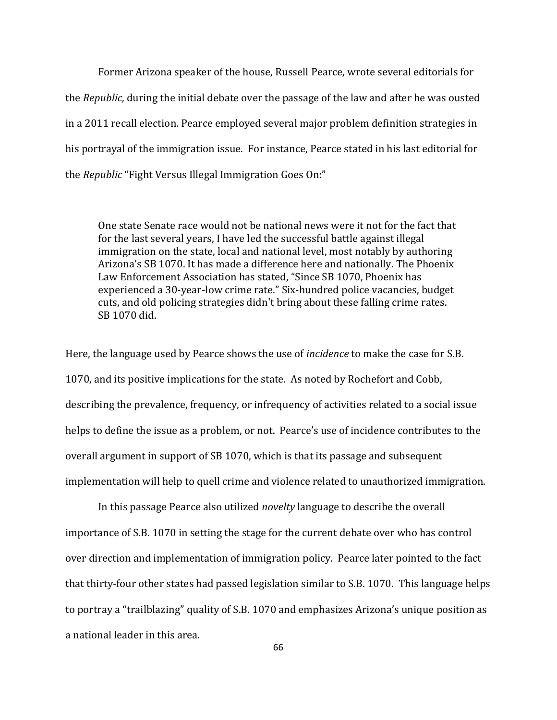Former Arizona speaker of the house, Russell Pearce, wrote several editorials for the *Republic,* during the initial debate over the passage of the law and after he was ousted in a 2011 recall election. Pearce employed several major problem definition strategies in his portrayal of the immigration issue. For instance, Pearce stated in his last editorial for the *Republic* "Fight Versus Illegal Immigration Goes On:"

One state Senate race would not be national news were it not for the fact that for the last several years, I have led the successful battle against illegal immigration on the state, local and national level, most notably by authoring Arizona's SB 1070. It has made a difference here and nationally. The Phoenix Law Enforcement Association has stated, "Since SB 1070, Phoenix has experienced a 30-year-low crime rate." Six-hundred police vacancies, budget cuts, and old policing strategies didn't bring about these falling crime rates. SB 1070 did.

Here, the language used by Pearce shows the use of *incidence* to make the case for S.B. 1070, and its positive implications for the state. As noted by Rochefort and Cobb, describing the prevalence, frequency, or infrequency of activities related to a social issue helps to define the issue as a problem, or not. Pearce's use of incidence contributes to the overall argument in support of SB 1070, which is that its passage and subsequent implementation will help to quell crime and violence related to unauthorized immigration.

In this passage Pearce also utilized *novelty* language to describe the overall importance of S.B. 1070 in setting the stage for the current debate over who has control over direction and implementation of immigration policy. Pearce later pointed to the fact that thirty-four other states had passed legislation similar to S.B. 1070. This language helps to portray a "trailblazing" quality of S.B. 1070 and emphasizes Arizona's unique position as a national leader in this area.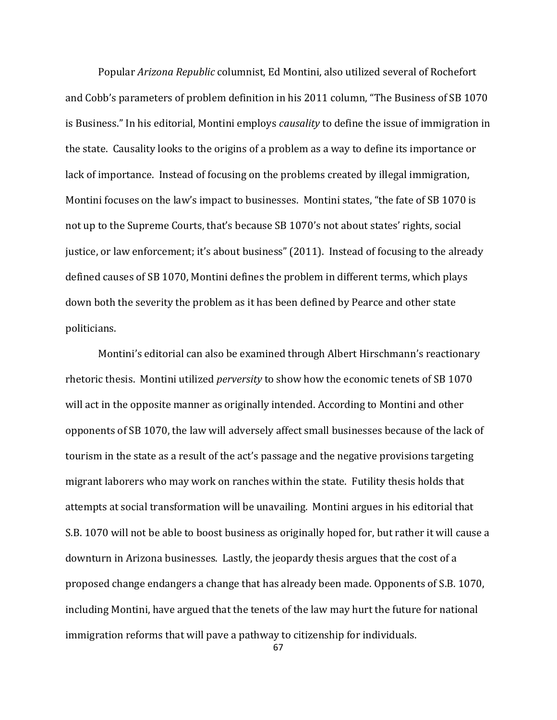Popular *Arizona Republic* columnist, Ed Montini, also utilized several of Rochefort and Cobb's parameters of problem definition in his 2011 column, "The Business of SB 1070 is Business." In his editorial, Montini employs *causality* to define the issue of immigration in the state. Causality looks to the origins of a problem as a way to define its importance or lack of importance. Instead of focusing on the problems created by illegal immigration, Montini focuses on the law's impact to businesses. Montini states, "the fate of SB 1070 is not up to the Supreme Courts, that's because SB 1070's not about states' rights, social justice, or law enforcement; it's about business" (2011). Instead of focusing to the already defined causes of SB 1070, Montini defines the problem in different terms, which plays down both the severity the problem as it has been defined by Pearce and other state politicians.

Montini's editorial can also be examined through Albert Hirschmann's reactionary rhetoric thesis. Montini utilized *perversity* to show how the economic tenets of SB 1070 will act in the opposite manner as originally intended. According to Montini and other opponents of SB 1070, the law will adversely affect small businesses because of the lack of tourism in the state as a result of the act's passage and the negative provisions targeting migrant laborers who may work on ranches within the state. Futility thesis holds that attempts at social transformation will be unavailing. Montini argues in his editorial that S.B. 1070 will not be able to boost business as originally hoped for, but rather it will cause a downturn in Arizona businesses. Lastly, the jeopardy thesis argues that the cost of a proposed change endangers a change that has already been made. Opponents of S.B. 1070, including Montini, have argued that the tenets of the law may hurt the future for national immigration reforms that will pave a pathway to citizenship for individuals.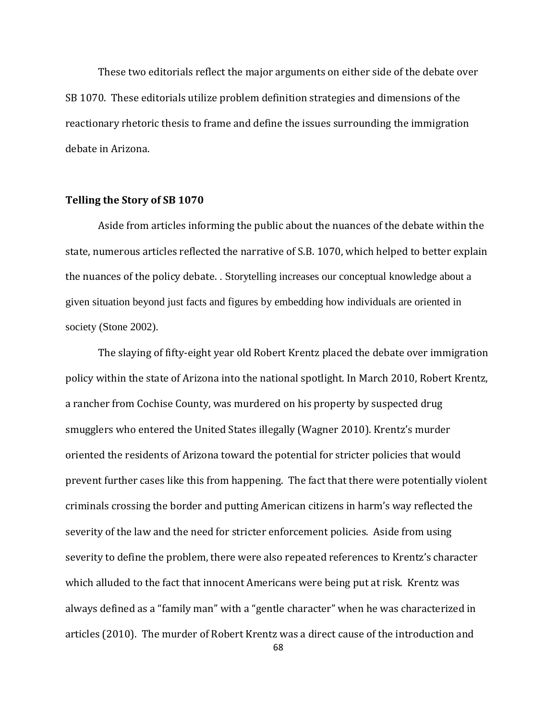These two editorials reflect the major arguments on either side of the debate over SB 1070. These editorials utilize problem definition strategies and dimensions of the reactionary rhetoric thesis to frame and define the issues surrounding the immigration debate in Arizona.

### **Telling the Story of SB 1070**

Aside from articles informing the public about the nuances of the debate within the state, numerous articles reflected the narrative of S.B. 1070, which helped to better explain the nuances of the policy debate. . Storytelling increases our conceptual knowledge about a given situation beyond just facts and figures by embedding how individuals are oriented in society (Stone 2002).

The slaying of fifty-eight year old Robert Krentz placed the debate over immigration policy within the state of Arizona into the national spotlight. In March 2010, Robert Krentz, a rancher from Cochise County, was murdered on his property by suspected drug smugglers who entered the United States illegally (Wagner 2010). Krentz's murder oriented the residents of Arizona toward the potential for stricter policies that would prevent further cases like this from happening. The fact that there were potentially violent criminals crossing the border and putting American citizens in harm's way reflected the severity of the law and the need for stricter enforcement policies. Aside from using severity to define the problem, there were also repeated references to Krentz's character which alluded to the fact that innocent Americans were being put at risk. Krentz was always defined as a "family man" with a "gentle character" when he was characterized in articles (2010). The murder of Robert Krentz was a direct cause of the introduction and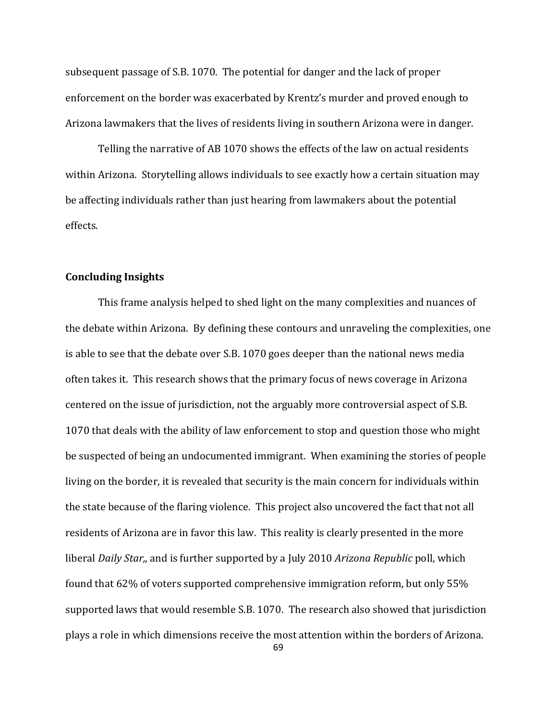subsequent passage of S.B. 1070. The potential for danger and the lack of proper enforcement on the border was exacerbated by Krentz's murder and proved enough to Arizona lawmakers that the lives of residents living in southern Arizona were in danger.

Telling the narrative of AB 1070 shows the effects of the law on actual residents within Arizona. Storytelling allows individuals to see exactly how a certain situation may be affecting individuals rather than just hearing from lawmakers about the potential effects.

### **Concluding Insights**

This frame analysis helped to shed light on the many complexities and nuances of the debate within Arizona. By defining these contours and unraveling the complexities, one is able to see that the debate over S.B. 1070 goes deeper than the national news media often takes it. This research shows that the primary focus of news coverage in Arizona centered on the issue of jurisdiction, not the arguably more controversial aspect of S.B. 1070 that deals with the ability of law enforcement to stop and question those who might be suspected of being an undocumented immigrant. When examining the stories of people living on the border, it is revealed that security is the main concern for individuals within the state because of the flaring violence. This project also uncovered the fact that not all residents of Arizona are in favor this law. This reality is clearly presented in the more liberal *Daily Star,*, and is further supported by a July 2010 *Arizona Republic* poll, which found that 62% of voters supported comprehensive immigration reform, but only 55% supported laws that would resemble S.B. 1070. The research also showed that jurisdiction plays a role in which dimensions receive the most attention within the borders of Arizona.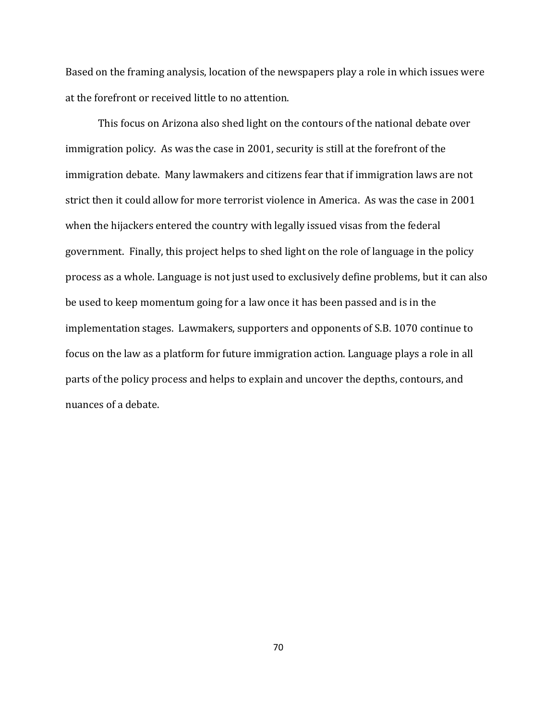Based on the framing analysis, location of the newspapers play a role in which issues were at the forefront or received little to no attention.

This focus on Arizona also shed light on the contours of the national debate over immigration policy. As was the case in 2001, security is still at the forefront of the immigration debate. Many lawmakers and citizens fear that if immigration laws are not strict then it could allow for more terrorist violence in America. As was the case in 2001 when the hijackers entered the country with legally issued visas from the federal government. Finally, this project helps to shed light on the role of language in the policy process as a whole. Language is not just used to exclusively define problems, but it can also be used to keep momentum going for a law once it has been passed and is in the implementation stages. Lawmakers, supporters and opponents of S.B. 1070 continue to focus on the law as a platform for future immigration action. Language plays a role in all parts of the policy process and helps to explain and uncover the depths, contours, and nuances of a debate.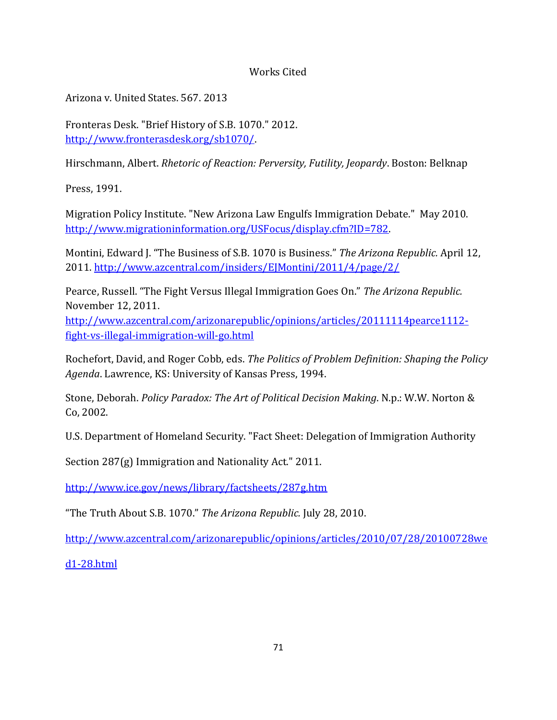# Works Cited

Arizona v. United States. 567. 2013

Fronteras Desk. "Brief History of S.B. 1070." 2012. [http://www.fronterasdesk.org/sb1070/.](http://www.fronterasdesk.org/sb1070/)

Hirschmann, Albert. *Rhetoric of Reaction: Perversity, Futility, Jeopardy*. Boston: Belknap

Press, 1991.

Migration Policy Institute. "New Arizona Law Engulfs Immigration Debate." May 2010. [http://www.migrationinformation.org/USFocus/display.cfm?ID=782.](http://www.migrationinformation.org/USFocus/display.cfm?ID=782)

Montini, Edward J. "The Business of S.B. 1070 is Business." *The Arizona Republic.* April 12, 2011.<http://www.azcentral.com/insiders/EJMontini/2011/4/page/2/>

Pearce, Russell. "The Fight Versus Illegal Immigration Goes On." *The Arizona Republic.*  November 12, 2011.

[http://www.azcentral.com/arizonarepublic/opinions/articles/20111114pearce1112](http://www.azcentral.com/arizonarepublic/opinions/articles/20111114pearce1112-fight-vs-illegal-immigration-will-go.html) [fight-vs-illegal-immigration-will-go.html](http://www.azcentral.com/arizonarepublic/opinions/articles/20111114pearce1112-fight-vs-illegal-immigration-will-go.html)

Rochefort, David, and Roger Cobb, eds. *The Politics of Problem Definition: Shaping the Policy Agenda*. Lawrence, KS: University of Kansas Press, 1994.

Stone, Deborah. *Policy Paradox: The Art of Political Decision Making*. N.p.: W.W. Norton & Co, 2002.

U.S. Department of Homeland Security. "Fact Sheet: Delegation of Immigration Authority

Section 287(g) Immigration and Nationality Act." 2011.

<http://www.ice.gov/news/library/factsheets/287g.htm>

"The Truth About S.B. 1070." *The Arizona Republic.* July 28, 2010.

[http://www.azcentral.com/arizonarepublic/opinions/articles/2010/07/28/20100728we](http://www.azcentral.com/arizonarepublic/opinions/articles/2010/07/28/20100728wed1-28.html)

[d1-28.html](http://www.azcentral.com/arizonarepublic/opinions/articles/2010/07/28/20100728wed1-28.html)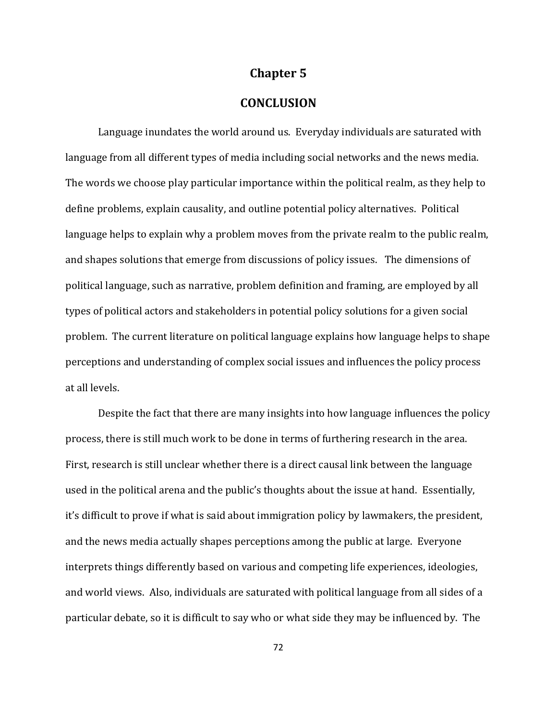### **Chapter 5**

## **CONCLUSION**

Language inundates the world around us. Everyday individuals are saturated with language from all different types of media including social networks and the news media. The words we choose play particular importance within the political realm, as they help to define problems, explain causality, and outline potential policy alternatives. Political language helps to explain why a problem moves from the private realm to the public realm, and shapes solutions that emerge from discussions of policy issues. The dimensions of political language, such as narrative, problem definition and framing, are employed by all types of political actors and stakeholders in potential policy solutions for a given social problem. The current literature on political language explains how language helps to shape perceptions and understanding of complex social issues and influences the policy process at all levels.

Despite the fact that there are many insights into how language influences the policy process, there is still much work to be done in terms of furthering research in the area. First, research is still unclear whether there is a direct causal link between the language used in the political arena and the public's thoughts about the issue at hand. Essentially, it's difficult to prove if what is said about immigration policy by lawmakers, the president, and the news media actually shapes perceptions among the public at large. Everyone interprets things differently based on various and competing life experiences, ideologies, and world views. Also, individuals are saturated with political language from all sides of a particular debate, so it is difficult to say who or what side they may be influenced by. The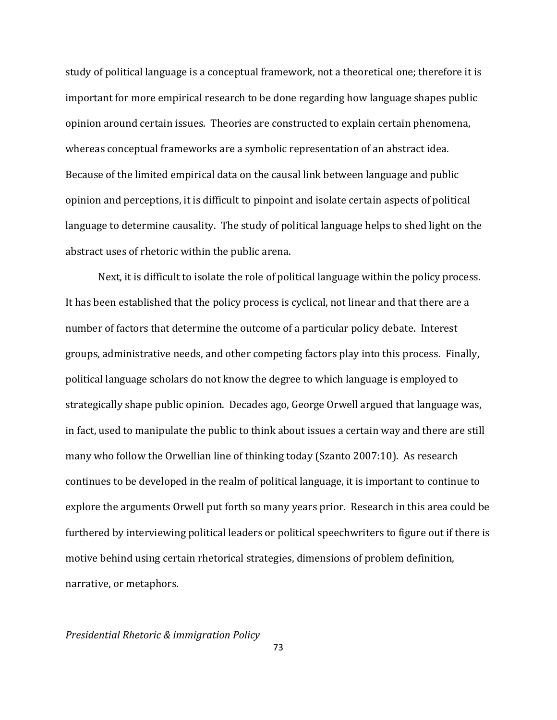study of political language is a conceptual framework, not a theoretical one; therefore it is important for more empirical research to be done regarding how language shapes public opinion around certain issues. Theories are constructed to explain certain phenomena, whereas conceptual frameworks are a symbolic representation of an abstract idea. Because of the limited empirical data on the causal link between language and public opinion and perceptions, it is difficult to pinpoint and isolate certain aspects of political language to determine causality. The study of political language helps to shed light on the abstract uses of rhetoric within the public arena.

Next, it is difficult to isolate the role of political language within the policy process. It has been established that the policy process is cyclical, not linear and that there are a number of factors that determine the outcome of a particular policy debate. Interest groups, administrative needs, and other competing factors play into this process. Finally, political language scholars do not know the degree to which language is employed to strategically shape public opinion. Decades ago, George Orwell argued that language was, in fact, used to manipulate the public to think about issues a certain way and there are still many who follow the Orwellian line of thinking today (Szanto 2007:10). As research continues to be developed in the realm of political language, it is important to continue to explore the arguments Orwell put forth so many years prior. Research in this area could be furthered by interviewing political leaders or political speechwriters to figure out if there is motive behind using certain rhetorical strategies, dimensions of problem definition, narrative, or metaphors.

*Presidential Rhetoric & immigration Policy*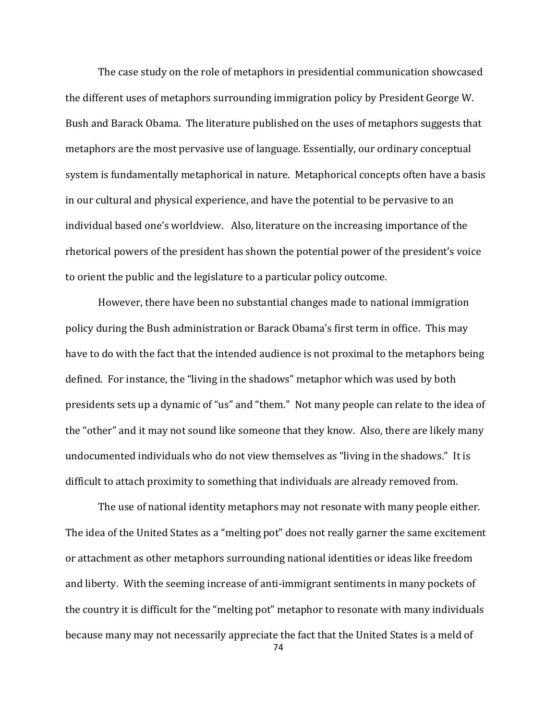The case study on the role of metaphors in presidential communication showcased the different uses of metaphors surrounding immigration policy by President George W. Bush and Barack Obama. The literature published on the uses of metaphors suggests that metaphors are the most pervasive use of language. Essentially, our ordinary conceptual system is fundamentally metaphorical in nature. Metaphorical concepts often have a basis in our cultural and physical experience, and have the potential to be pervasive to an individual based one's worldview. Also, literature on the increasing importance of the rhetorical powers of the president has shown the potential power of the president's voice to orient the public and the legislature to a particular policy outcome.

However, there have been no substantial changes made to national immigration policy during the Bush administration or Barack Obama's first term in office. This may have to do with the fact that the intended audience is not proximal to the metaphors being defined. For instance, the "living in the shadows" metaphor which was used by both presidents sets up a dynamic of "us" and "them." Not many people can relate to the idea of the "other" and it may not sound like someone that they know. Also, there are likely many undocumented individuals who do not view themselves as "living in the shadows." It is difficult to attach proximity to something that individuals are already removed from.

The use of national identity metaphors may not resonate with many people either. The idea of the United States as a "melting pot" does not really garner the same excitement or attachment as other metaphors surrounding national identities or ideas like freedom and liberty. With the seeming increase of anti-immigrant sentiments in many pockets of the country it is difficult for the "melting pot" metaphor to resonate with many individuals because many may not necessarily appreciate the fact that the United States is a meld of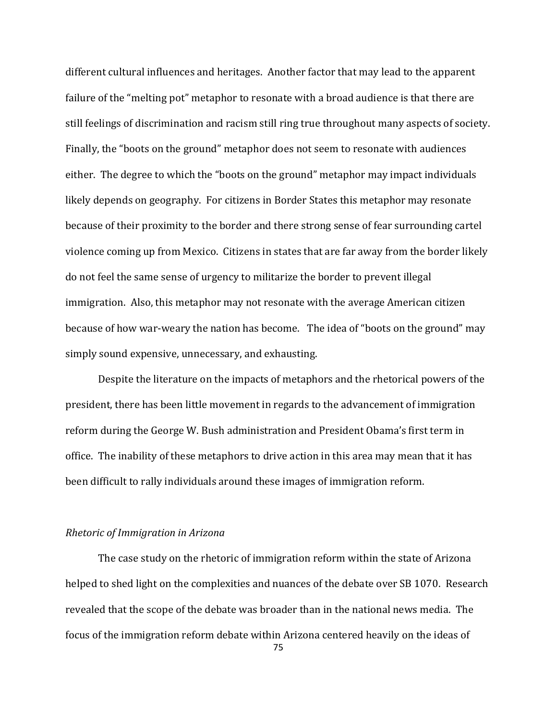different cultural influences and heritages. Another factor that may lead to the apparent failure of the "melting pot" metaphor to resonate with a broad audience is that there are still feelings of discrimination and racism still ring true throughout many aspects of society. Finally, the "boots on the ground" metaphor does not seem to resonate with audiences either. The degree to which the "boots on the ground" metaphor may impact individuals likely depends on geography. For citizens in Border States this metaphor may resonate because of their proximity to the border and there strong sense of fear surrounding cartel violence coming up from Mexico. Citizens in states that are far away from the border likely do not feel the same sense of urgency to militarize the border to prevent illegal immigration. Also, this metaphor may not resonate with the average American citizen because of how war-weary the nation has become. The idea of "boots on the ground" may simply sound expensive, unnecessary, and exhausting.

Despite the literature on the impacts of metaphors and the rhetorical powers of the president, there has been little movement in regards to the advancement of immigration reform during the George W. Bush administration and President Obama's first term in office. The inability of these metaphors to drive action in this area may mean that it has been difficult to rally individuals around these images of immigration reform.

#### *Rhetoric of Immigration in Arizona*

The case study on the rhetoric of immigration reform within the state of Arizona helped to shed light on the complexities and nuances of the debate over SB 1070. Research revealed that the scope of the debate was broader than in the national news media. The focus of the immigration reform debate within Arizona centered heavily on the ideas of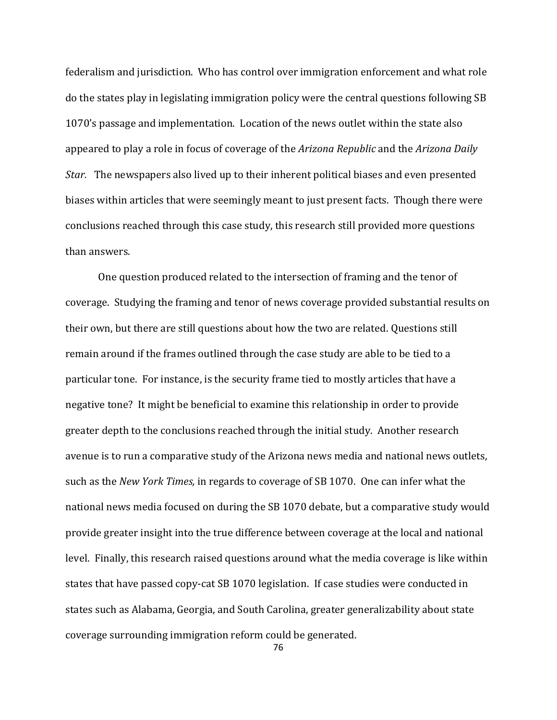federalism and jurisdiction. Who has control over immigration enforcement and what role do the states play in legislating immigration policy were the central questions following SB 1070's passage and implementation. Location of the news outlet within the state also appeared to play a role in focus of coverage of the *Arizona Republic* and the *Arizona Daily Star.* The newspapers also lived up to their inherent political biases and even presented biases within articles that were seemingly meant to just present facts. Though there were conclusions reached through this case study, this research still provided more questions than answers.

One question produced related to the intersection of framing and the tenor of coverage. Studying the framing and tenor of news coverage provided substantial results on their own, but there are still questions about how the two are related. Questions still remain around if the frames outlined through the case study are able to be tied to a particular tone. For instance, is the security frame tied to mostly articles that have a negative tone? It might be beneficial to examine this relationship in order to provide greater depth to the conclusions reached through the initial study. Another research avenue is to run a comparative study of the Arizona news media and national news outlets, such as the *New York Times,* in regards to coverage of SB 1070. One can infer what the national news media focused on during the SB 1070 debate, but a comparative study would provide greater insight into the true difference between coverage at the local and national level. Finally, this research raised questions around what the media coverage is like within states that have passed copy-cat SB 1070 legislation. If case studies were conducted in states such as Alabama, Georgia, and South Carolina, greater generalizability about state coverage surrounding immigration reform could be generated.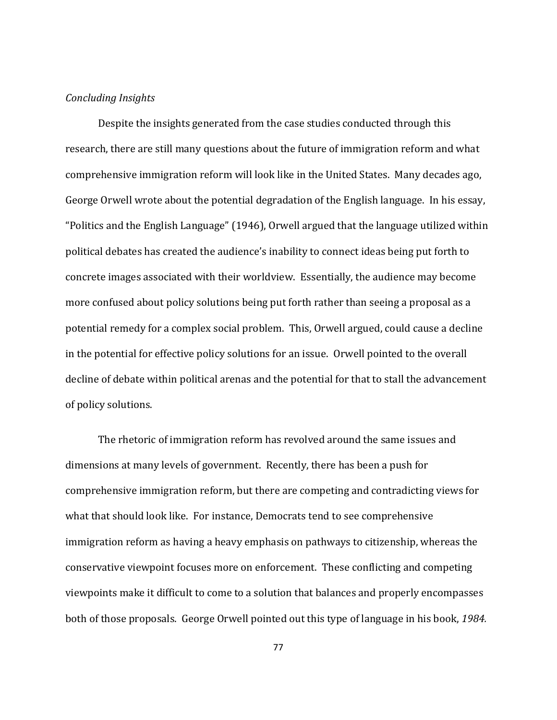#### *Concluding Insights*

Despite the insights generated from the case studies conducted through this research, there are still many questions about the future of immigration reform and what comprehensive immigration reform will look like in the United States. Many decades ago, George Orwell wrote about the potential degradation of the English language. In his essay, "Politics and the English Language" (1946), Orwell argued that the language utilized within political debates has created the audience's inability to connect ideas being put forth to concrete images associated with their worldview. Essentially, the audience may become more confused about policy solutions being put forth rather than seeing a proposal as a potential remedy for a complex social problem. This, Orwell argued, could cause a decline in the potential for effective policy solutions for an issue. Orwell pointed to the overall decline of debate within political arenas and the potential for that to stall the advancement of policy solutions.

The rhetoric of immigration reform has revolved around the same issues and dimensions at many levels of government. Recently, there has been a push for comprehensive immigration reform, but there are competing and contradicting views for what that should look like. For instance, Democrats tend to see comprehensive immigration reform as having a heavy emphasis on pathways to citizenship, whereas the conservative viewpoint focuses more on enforcement. These conflicting and competing viewpoints make it difficult to come to a solution that balances and properly encompasses both of those proposals. George Orwell pointed out this type of language in his book, *1984.*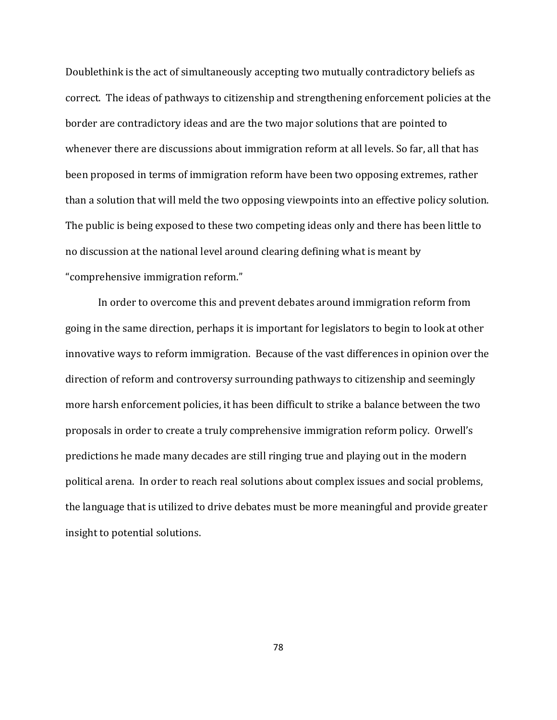Doublethink is the act of simultaneously accepting two mutually contradictory beliefs as correct. The ideas of pathways to citizenship and strengthening enforcement policies at the border are contradictory ideas and are the two major solutions that are pointed to whenever there are discussions about immigration reform at all levels. So far, all that has been proposed in terms of immigration reform have been two opposing extremes, rather than a solution that will meld the two opposing viewpoints into an effective policy solution. The public is being exposed to these two competing ideas only and there has been little to no discussion at the national level around clearing defining what is meant by "comprehensive immigration reform."

In order to overcome this and prevent debates around immigration reform from going in the same direction, perhaps it is important for legislators to begin to look at other innovative ways to reform immigration. Because of the vast differences in opinion over the direction of reform and controversy surrounding pathways to citizenship and seemingly more harsh enforcement policies, it has been difficult to strike a balance between the two proposals in order to create a truly comprehensive immigration reform policy. Orwell's predictions he made many decades are still ringing true and playing out in the modern political arena. In order to reach real solutions about complex issues and social problems, the language that is utilized to drive debates must be more meaningful and provide greater insight to potential solutions.